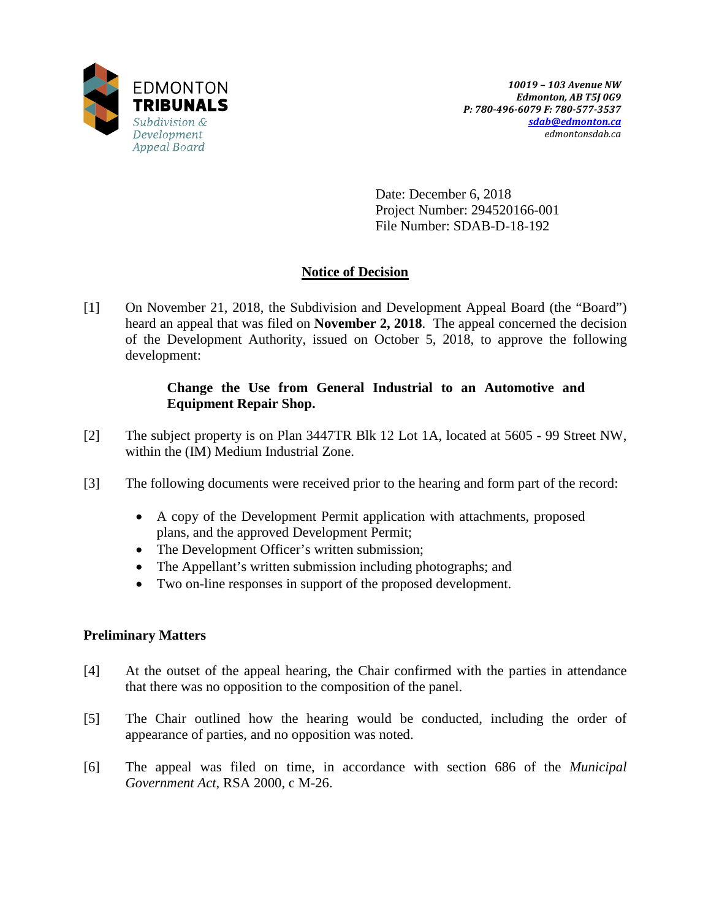

Date: December 6, 2018 Project Number: 294520166-001 File Number: SDAB-D-18-192

# **Notice of Decision**

[1] On November 21, 2018, the Subdivision and Development Appeal Board (the "Board") heard an appeal that was filed on **November 2, 2018**. The appeal concerned the decision of the Development Authority, issued on October 5, 2018, to approve the following development:

# **Change the Use from General Industrial to an Automotive and Equipment Repair Shop.**

- [2] The subject property is on Plan 3447TR Blk 12 Lot 1A, located at 5605 99 Street NW, within the (IM) Medium Industrial Zone.
- [3] The following documents were received prior to the hearing and form part of the record:
	- A copy of the Development Permit application with attachments, proposed plans, and the approved Development Permit;
	- The Development Officer's written submission;
	- The Appellant's written submission including photographs; and
	- Two on-line responses in support of the proposed development.

# **Preliminary Matters**

- [4] At the outset of the appeal hearing, the Chair confirmed with the parties in attendance that there was no opposition to the composition of the panel.
- [5] The Chair outlined how the hearing would be conducted, including the order of appearance of parties, and no opposition was noted.
- [6] The appeal was filed on time, in accordance with section 686 of the *Municipal Government Act*, RSA 2000, c M-26.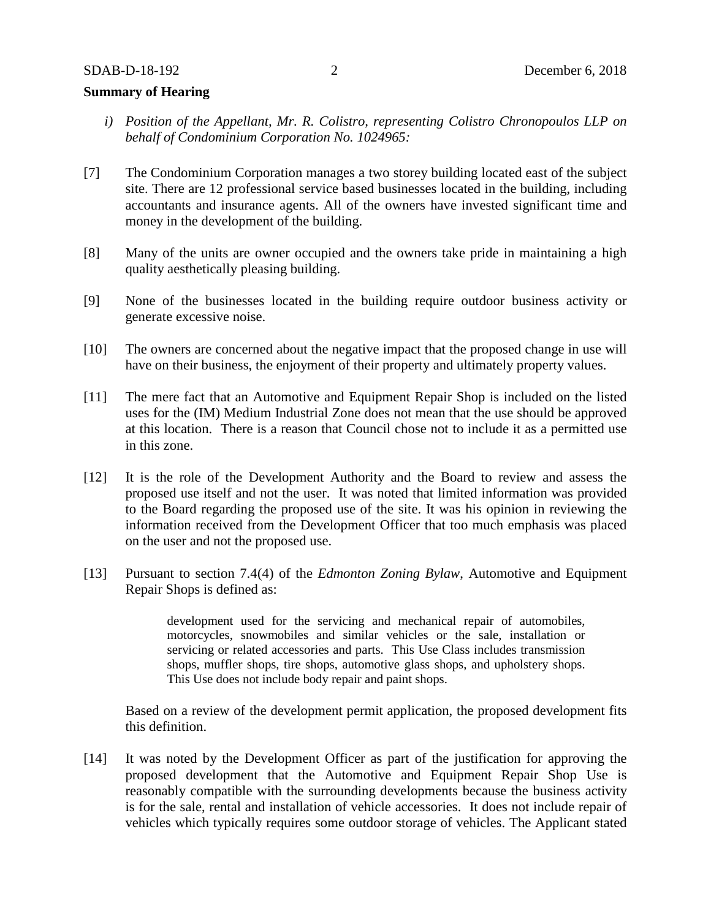## **Summary of Hearing**

- *i) Position of the Appellant, Mr. R. Colistro, representing Colistro Chronopoulos LLP on behalf of Condominium Corporation No. 1024965:*
- [7] The Condominium Corporation manages a two storey building located east of the subject site. There are 12 professional service based businesses located in the building, including accountants and insurance agents. All of the owners have invested significant time and money in the development of the building.
- [8] Many of the units are owner occupied and the owners take pride in maintaining a high quality aesthetically pleasing building.
- [9] None of the businesses located in the building require outdoor business activity or generate excessive noise.
- [10] The owners are concerned about the negative impact that the proposed change in use will have on their business, the enjoyment of their property and ultimately property values.
- [11] The mere fact that an Automotive and Equipment Repair Shop is included on the listed uses for the (IM) Medium Industrial Zone does not mean that the use should be approved at this location. There is a reason that Council chose not to include it as a permitted use in this zone.
- [12] It is the role of the Development Authority and the Board to review and assess the proposed use itself and not the user. It was noted that limited information was provided to the Board regarding the proposed use of the site. It was his opinion in reviewing the information received from the Development Officer that too much emphasis was placed on the user and not the proposed use.
- [13] Pursuant to section 7.4(4) of the *Edmonton Zoning Bylaw*, Automotive and Equipment Repair Shops is defined as:

development used for the servicing and mechanical repair of automobiles, motorcycles, snowmobiles and similar vehicles or the sale, installation or servicing or related accessories and parts. This Use Class includes transmission shops, muffler shops, tire shops, automotive glass shops, and upholstery shops. This Use does not include body repair and paint shops.

Based on a review of the development permit application, the proposed development fits this definition.

[14] It was noted by the Development Officer as part of the justification for approving the proposed development that the Automotive and Equipment Repair Shop Use is reasonably compatible with the surrounding developments because the business activity is for the sale, rental and installation of vehicle accessories. It does not include repair of vehicles which typically requires some outdoor storage of vehicles. The Applicant stated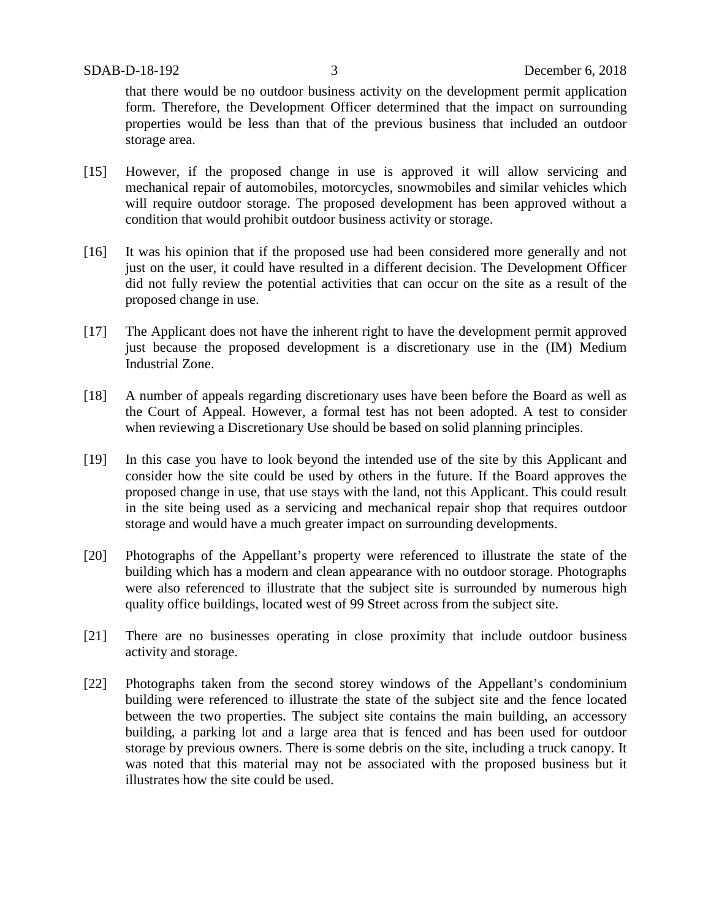that there would be no outdoor business activity on the development permit application form. Therefore, the Development Officer determined that the impact on surrounding properties would be less than that of the previous business that included an outdoor storage area.

- [15] However, if the proposed change in use is approved it will allow servicing and mechanical repair of automobiles, motorcycles, snowmobiles and similar vehicles which will require outdoor storage. The proposed development has been approved without a condition that would prohibit outdoor business activity or storage.
- [16] It was his opinion that if the proposed use had been considered more generally and not just on the user, it could have resulted in a different decision. The Development Officer did not fully review the potential activities that can occur on the site as a result of the proposed change in use.
- [17] The Applicant does not have the inherent right to have the development permit approved just because the proposed development is a discretionary use in the (IM) Medium Industrial Zone.
- [18] A number of appeals regarding discretionary uses have been before the Board as well as the Court of Appeal. However, a formal test has not been adopted. A test to consider when reviewing a Discretionary Use should be based on solid planning principles.
- [19] In this case you have to look beyond the intended use of the site by this Applicant and consider how the site could be used by others in the future. If the Board approves the proposed change in use, that use stays with the land, not this Applicant. This could result in the site being used as a servicing and mechanical repair shop that requires outdoor storage and would have a much greater impact on surrounding developments.
- [20] Photographs of the Appellant's property were referenced to illustrate the state of the building which has a modern and clean appearance with no outdoor storage. Photographs were also referenced to illustrate that the subject site is surrounded by numerous high quality office buildings, located west of 99 Street across from the subject site.
- [21] There are no businesses operating in close proximity that include outdoor business activity and storage.
- [22] Photographs taken from the second storey windows of the Appellant's condominium building were referenced to illustrate the state of the subject site and the fence located between the two properties. The subject site contains the main building, an accessory building, a parking lot and a large area that is fenced and has been used for outdoor storage by previous owners. There is some debris on the site, including a truck canopy. It was noted that this material may not be associated with the proposed business but it illustrates how the site could be used.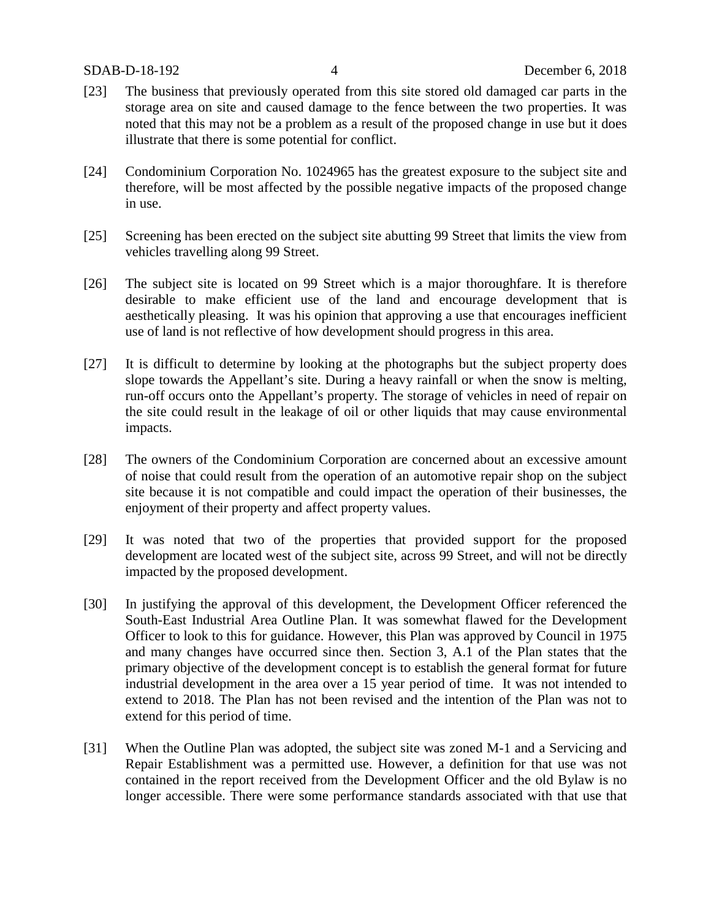- [23] The business that previously operated from this site stored old damaged car parts in the storage area on site and caused damage to the fence between the two properties. It was noted that this may not be a problem as a result of the proposed change in use but it does illustrate that there is some potential for conflict.
- [24] Condominium Corporation No. 1024965 has the greatest exposure to the subject site and therefore, will be most affected by the possible negative impacts of the proposed change in use.
- [25] Screening has been erected on the subject site abutting 99 Street that limits the view from vehicles travelling along 99 Street.
- [26] The subject site is located on 99 Street which is a major thoroughfare. It is therefore desirable to make efficient use of the land and encourage development that is aesthetically pleasing. It was his opinion that approving a use that encourages inefficient use of land is not reflective of how development should progress in this area.
- [27] It is difficult to determine by looking at the photographs but the subject property does slope towards the Appellant's site. During a heavy rainfall or when the snow is melting, run-off occurs onto the Appellant's property. The storage of vehicles in need of repair on the site could result in the leakage of oil or other liquids that may cause environmental impacts.
- [28] The owners of the Condominium Corporation are concerned about an excessive amount of noise that could result from the operation of an automotive repair shop on the subject site because it is not compatible and could impact the operation of their businesses, the enjoyment of their property and affect property values.
- [29] It was noted that two of the properties that provided support for the proposed development are located west of the subject site, across 99 Street, and will not be directly impacted by the proposed development.
- [30] In justifying the approval of this development, the Development Officer referenced the South-East Industrial Area Outline Plan. It was somewhat flawed for the Development Officer to look to this for guidance. However, this Plan was approved by Council in 1975 and many changes have occurred since then. Section 3, A.1 of the Plan states that the primary objective of the development concept is to establish the general format for future industrial development in the area over a 15 year period of time. It was not intended to extend to 2018. The Plan has not been revised and the intention of the Plan was not to extend for this period of time.
- [31] When the Outline Plan was adopted, the subject site was zoned M-1 and a Servicing and Repair Establishment was a permitted use. However, a definition for that use was not contained in the report received from the Development Officer and the old Bylaw is no longer accessible. There were some performance standards associated with that use that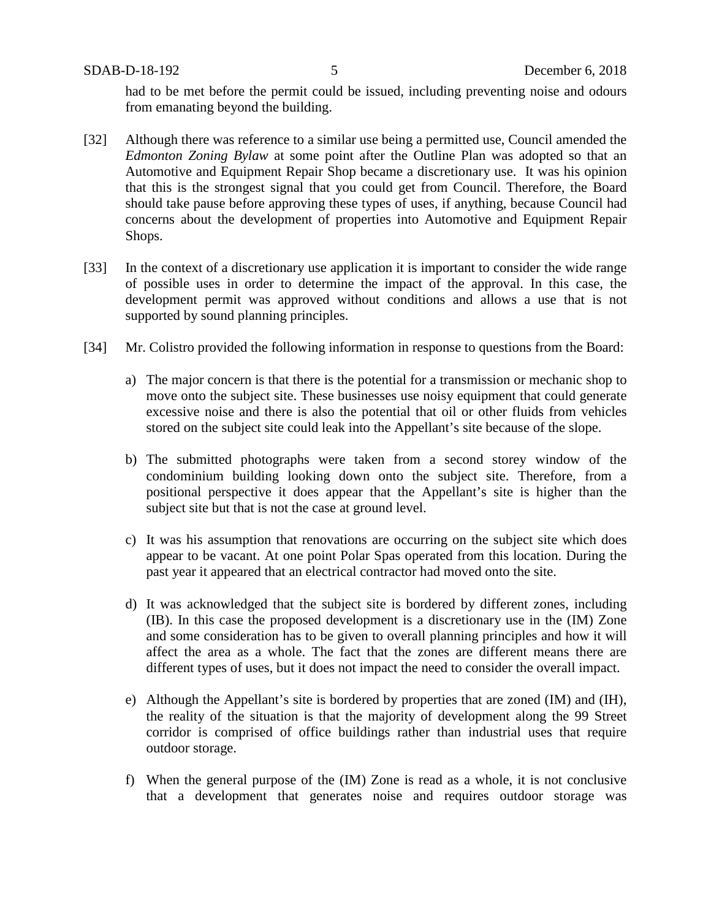SDAB-D-18-192 5 December 6, 2018

had to be met before the permit could be issued, including preventing noise and odours from emanating beyond the building.

- [32] Although there was reference to a similar use being a permitted use, Council amended the *Edmonton Zoning Bylaw* at some point after the Outline Plan was adopted so that an Automotive and Equipment Repair Shop became a discretionary use. It was his opinion that this is the strongest signal that you could get from Council. Therefore, the Board should take pause before approving these types of uses, if anything, because Council had concerns about the development of properties into Automotive and Equipment Repair Shops.
- [33] In the context of a discretionary use application it is important to consider the wide range of possible uses in order to determine the impact of the approval. In this case, the development permit was approved without conditions and allows a use that is not supported by sound planning principles.
- [34] Mr. Colistro provided the following information in response to questions from the Board:
	- a) The major concern is that there is the potential for a transmission or mechanic shop to move onto the subject site. These businesses use noisy equipment that could generate excessive noise and there is also the potential that oil or other fluids from vehicles stored on the subject site could leak into the Appellant's site because of the slope.
	- b) The submitted photographs were taken from a second storey window of the condominium building looking down onto the subject site. Therefore, from a positional perspective it does appear that the Appellant's site is higher than the subject site but that is not the case at ground level.
	- c) It was his assumption that renovations are occurring on the subject site which does appear to be vacant. At one point Polar Spas operated from this location. During the past year it appeared that an electrical contractor had moved onto the site.
	- d) It was acknowledged that the subject site is bordered by different zones, including (IB). In this case the proposed development is a discretionary use in the (IM) Zone and some consideration has to be given to overall planning principles and how it will affect the area as a whole. The fact that the zones are different means there are different types of uses, but it does not impact the need to consider the overall impact.
	- e) Although the Appellant's site is bordered by properties that are zoned (IM) and (IH), the reality of the situation is that the majority of development along the 99 Street corridor is comprised of office buildings rather than industrial uses that require outdoor storage.
	- f) When the general purpose of the (IM) Zone is read as a whole, it is not conclusive that a development that generates noise and requires outdoor storage was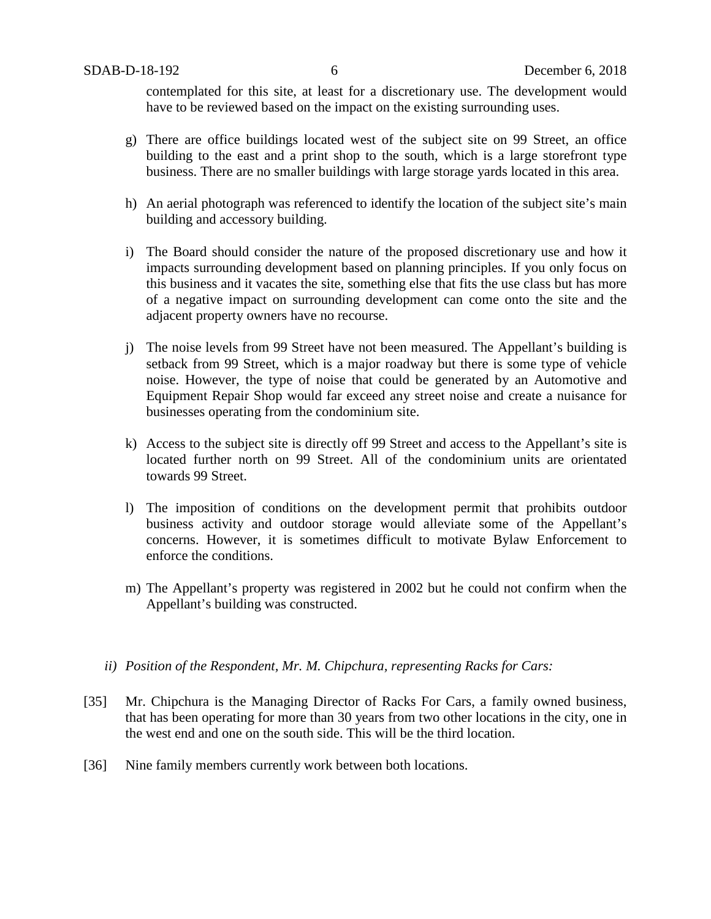contemplated for this site, at least for a discretionary use. The development would have to be reviewed based on the impact on the existing surrounding uses.

- g) There are office buildings located west of the subject site on 99 Street, an office building to the east and a print shop to the south, which is a large storefront type business. There are no smaller buildings with large storage yards located in this area.
- h) An aerial photograph was referenced to identify the location of the subject site's main building and accessory building.
- i) The Board should consider the nature of the proposed discretionary use and how it impacts surrounding development based on planning principles. If you only focus on this business and it vacates the site, something else that fits the use class but has more of a negative impact on surrounding development can come onto the site and the adjacent property owners have no recourse.
- j) The noise levels from 99 Street have not been measured. The Appellant's building is setback from 99 Street, which is a major roadway but there is some type of vehicle noise. However, the type of noise that could be generated by an Automotive and Equipment Repair Shop would far exceed any street noise and create a nuisance for businesses operating from the condominium site.
- k) Access to the subject site is directly off 99 Street and access to the Appellant's site is located further north on 99 Street. All of the condominium units are orientated towards 99 Street.
- l) The imposition of conditions on the development permit that prohibits outdoor business activity and outdoor storage would alleviate some of the Appellant's concerns. However, it is sometimes difficult to motivate Bylaw Enforcement to enforce the conditions.
- m) The Appellant's property was registered in 2002 but he could not confirm when the Appellant's building was constructed.
- *ii) Position of the Respondent, Mr. M. Chipchura, representing Racks for Cars:*
- [35] Mr. Chipchura is the Managing Director of Racks For Cars, a family owned business, that has been operating for more than 30 years from two other locations in the city, one in the west end and one on the south side. This will be the third location.
- [36] Nine family members currently work between both locations.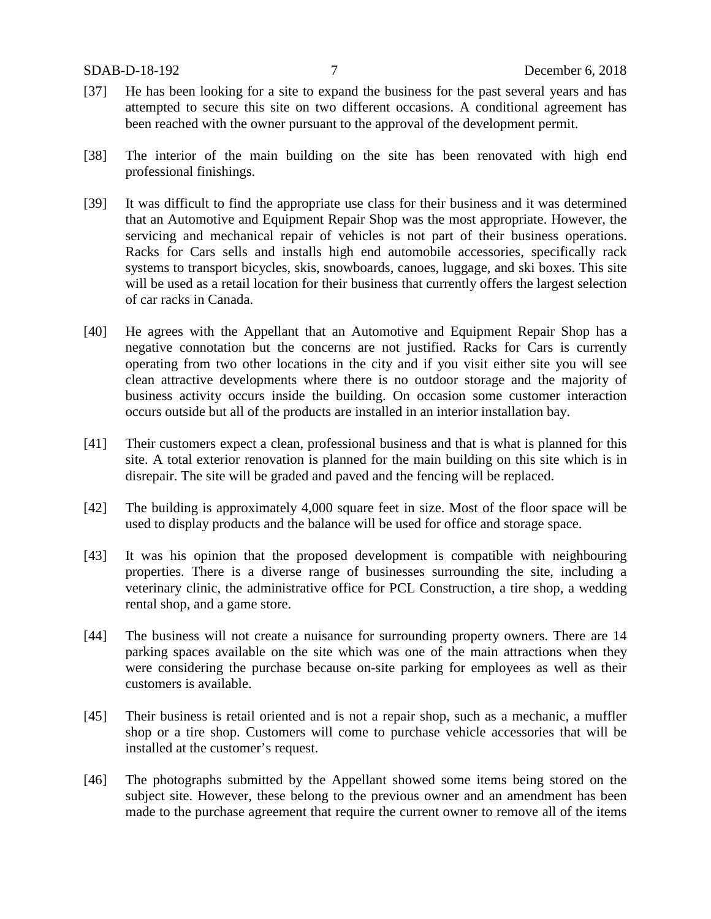- [37] He has been looking for a site to expand the business for the past several years and has attempted to secure this site on two different occasions. A conditional agreement has been reached with the owner pursuant to the approval of the development permit.
- [38] The interior of the main building on the site has been renovated with high end professional finishings.
- [39] It was difficult to find the appropriate use class for their business and it was determined that an Automotive and Equipment Repair Shop was the most appropriate. However, the servicing and mechanical repair of vehicles is not part of their business operations. Racks for Cars sells and installs high end automobile accessories, specifically rack systems to transport bicycles, skis, snowboards, canoes, luggage, and ski boxes. This site will be used as a retail location for their business that currently offers the largest selection of car racks in Canada.
- [40] He agrees with the Appellant that an Automotive and Equipment Repair Shop has a negative connotation but the concerns are not justified. Racks for Cars is currently operating from two other locations in the city and if you visit either site you will see clean attractive developments where there is no outdoor storage and the majority of business activity occurs inside the building. On occasion some customer interaction occurs outside but all of the products are installed in an interior installation bay.
- [41] Their customers expect a clean, professional business and that is what is planned for this site. A total exterior renovation is planned for the main building on this site which is in disrepair. The site will be graded and paved and the fencing will be replaced.
- [42] The building is approximately 4,000 square feet in size. Most of the floor space will be used to display products and the balance will be used for office and storage space.
- [43] It was his opinion that the proposed development is compatible with neighbouring properties. There is a diverse range of businesses surrounding the site, including a veterinary clinic, the administrative office for PCL Construction, a tire shop, a wedding rental shop, and a game store.
- [44] The business will not create a nuisance for surrounding property owners. There are 14 parking spaces available on the site which was one of the main attractions when they were considering the purchase because on-site parking for employees as well as their customers is available.
- [45] Their business is retail oriented and is not a repair shop, such as a mechanic, a muffler shop or a tire shop. Customers will come to purchase vehicle accessories that will be installed at the customer's request.
- [46] The photographs submitted by the Appellant showed some items being stored on the subject site. However, these belong to the previous owner and an amendment has been made to the purchase agreement that require the current owner to remove all of the items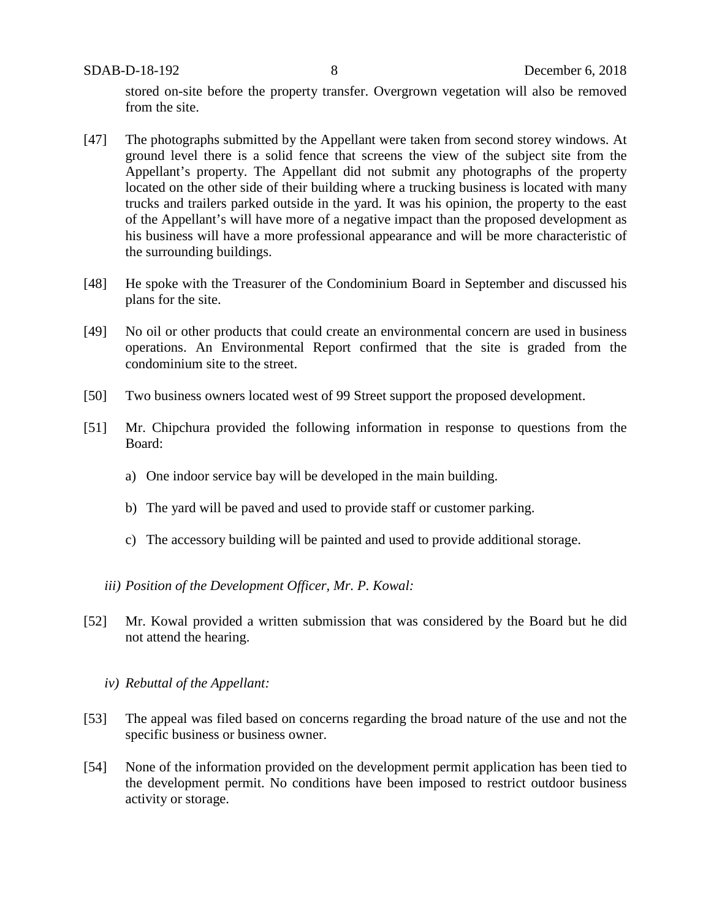SDAB-D-18-192 8 December 6, 2018

stored on-site before the property transfer. Overgrown vegetation will also be removed from the site.

- [47] The photographs submitted by the Appellant were taken from second storey windows. At ground level there is a solid fence that screens the view of the subject site from the Appellant's property. The Appellant did not submit any photographs of the property located on the other side of their building where a trucking business is located with many trucks and trailers parked outside in the yard. It was his opinion, the property to the east of the Appellant's will have more of a negative impact than the proposed development as his business will have a more professional appearance and will be more characteristic of the surrounding buildings.
- [48] He spoke with the Treasurer of the Condominium Board in September and discussed his plans for the site.
- [49] No oil or other products that could create an environmental concern are used in business operations. An Environmental Report confirmed that the site is graded from the condominium site to the street.
- [50] Two business owners located west of 99 Street support the proposed development.
- [51] Mr. Chipchura provided the following information in response to questions from the Board:
	- a) One indoor service bay will be developed in the main building.
	- b) The yard will be paved and used to provide staff or customer parking.
	- c) The accessory building will be painted and used to provide additional storage.
	- *iii) Position of the Development Officer, Mr. P. Kowal:*
- [52] Mr. Kowal provided a written submission that was considered by the Board but he did not attend the hearing.
	- *iv) Rebuttal of the Appellant:*
- [53] The appeal was filed based on concerns regarding the broad nature of the use and not the specific business or business owner.
- [54] None of the information provided on the development permit application has been tied to the development permit. No conditions have been imposed to restrict outdoor business activity or storage.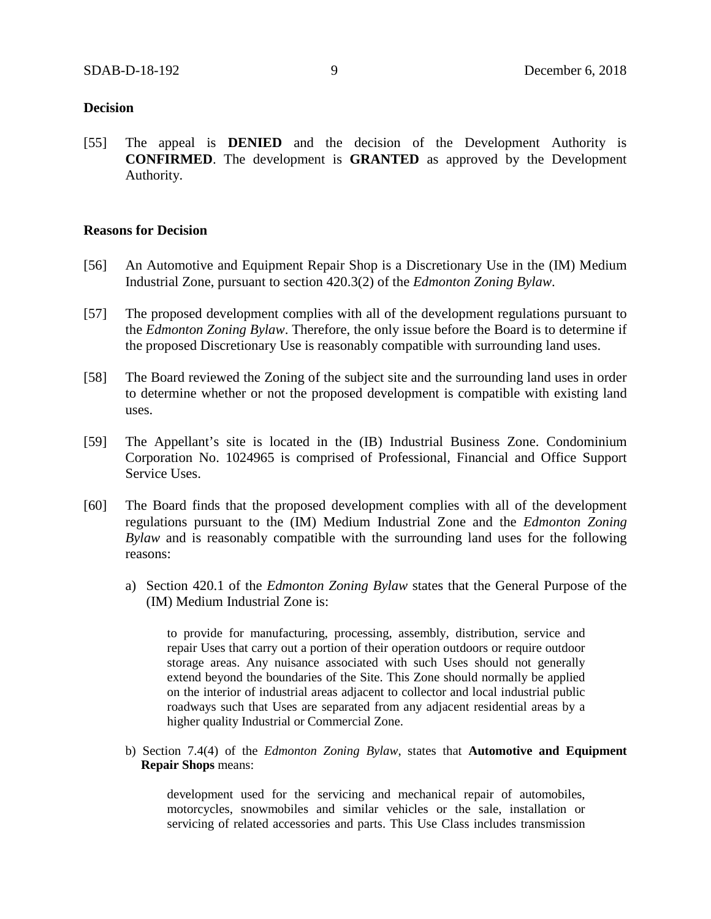#### **Decision**

[55] The appeal is **DENIED** and the decision of the Development Authority is **CONFIRMED**. The development is **GRANTED** as approved by the Development Authority.

#### **Reasons for Decision**

- [56] An Automotive and Equipment Repair Shop is a Discretionary Use in the (IM) Medium Industrial Zone, pursuant to section 420.3(2) of the *Edmonton Zoning Bylaw*.
- [57] The proposed development complies with all of the development regulations pursuant to the *Edmonton Zoning Bylaw*. Therefore, the only issue before the Board is to determine if the proposed Discretionary Use is reasonably compatible with surrounding land uses.
- [58] The Board reviewed the Zoning of the subject site and the surrounding land uses in order to determine whether or not the proposed development is compatible with existing land uses.
- [59] The Appellant's site is located in the (IB) Industrial Business Zone. Condominium Corporation No. 1024965 is comprised of Professional, Financial and Office Support Service Uses.
- [60] The Board finds that the proposed development complies with all of the development regulations pursuant to the (IM) Medium Industrial Zone and the *Edmonton Zoning Bylaw* and is reasonably compatible with the surrounding land uses for the following reasons:
	- a) Section 420.1 of the *Edmonton Zoning Bylaw* states that the General Purpose of the (IM) Medium Industrial Zone is:

to provide for manufacturing, processing, assembly, distribution, service and repair Uses that carry out a portion of their operation outdoors or require outdoor storage areas. Any nuisance associated with such Uses should not generally extend beyond the boundaries of the Site. This Zone should normally be applied on the interior of industrial areas adjacent to collector and local industrial public roadways such that Uses are separated from any adjacent residential areas by a higher quality Industrial or Commercial Zone.

b) Section 7.4(4) of the *Edmonton Zoning Bylaw*, states that **Automotive and Equipment Repair Shops** means:

development used for the servicing and mechanical repair of automobiles, motorcycles, snowmobiles and similar vehicles or the sale, installation or servicing of related accessories and parts. This Use Class includes transmission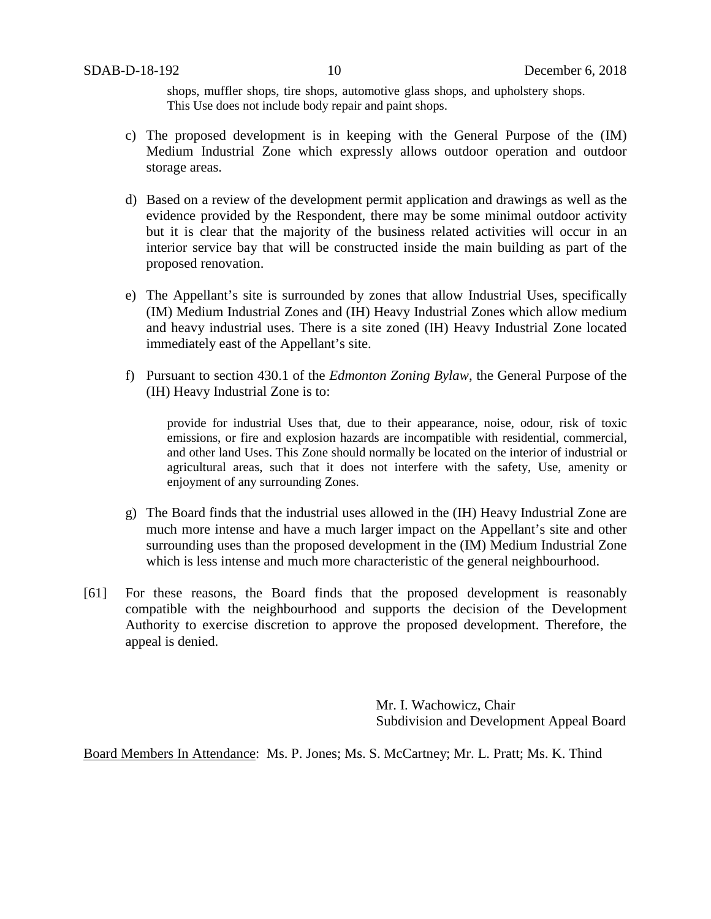shops, muffler shops, tire shops, automotive glass shops, and upholstery shops. This Use does not include body repair and paint shops.

- c) The proposed development is in keeping with the General Purpose of the (IM) Medium Industrial Zone which expressly allows outdoor operation and outdoor storage areas.
- d) Based on a review of the development permit application and drawings as well as the evidence provided by the Respondent, there may be some minimal outdoor activity but it is clear that the majority of the business related activities will occur in an interior service bay that will be constructed inside the main building as part of the proposed renovation.
- e) The Appellant's site is surrounded by zones that allow Industrial Uses, specifically (IM) Medium Industrial Zones and (IH) Heavy Industrial Zones which allow medium and heavy industrial uses. There is a site zoned (IH) Heavy Industrial Zone located immediately east of the Appellant's site.
- f) Pursuant to section 430.1 of the *Edmonton Zoning Bylaw*, the General Purpose of the (IH) Heavy Industrial Zone is to:

provide for industrial Uses that, due to their appearance, noise, odour, risk of toxic emissions, or fire and explosion hazards are incompatible with residential, commercial, and other land Uses. This Zone should normally be located on the interior of industrial or agricultural areas, such that it does not interfere with the safety, Use, amenity or enjoyment of any surrounding Zones.

- g) The Board finds that the industrial uses allowed in the (IH) Heavy Industrial Zone are much more intense and have a much larger impact on the Appellant's site and other surrounding uses than the proposed development in the (IM) Medium Industrial Zone which is less intense and much more characteristic of the general neighbourhood.
- [61] For these reasons, the Board finds that the proposed development is reasonably compatible with the neighbourhood and supports the decision of the Development Authority to exercise discretion to approve the proposed development. Therefore, the appeal is denied.

Mr. I. Wachowicz, Chair Subdivision and Development Appeal Board

Board Members In Attendance: Ms. P. Jones; Ms. S. McCartney; Mr. L. Pratt; Ms. K. Thind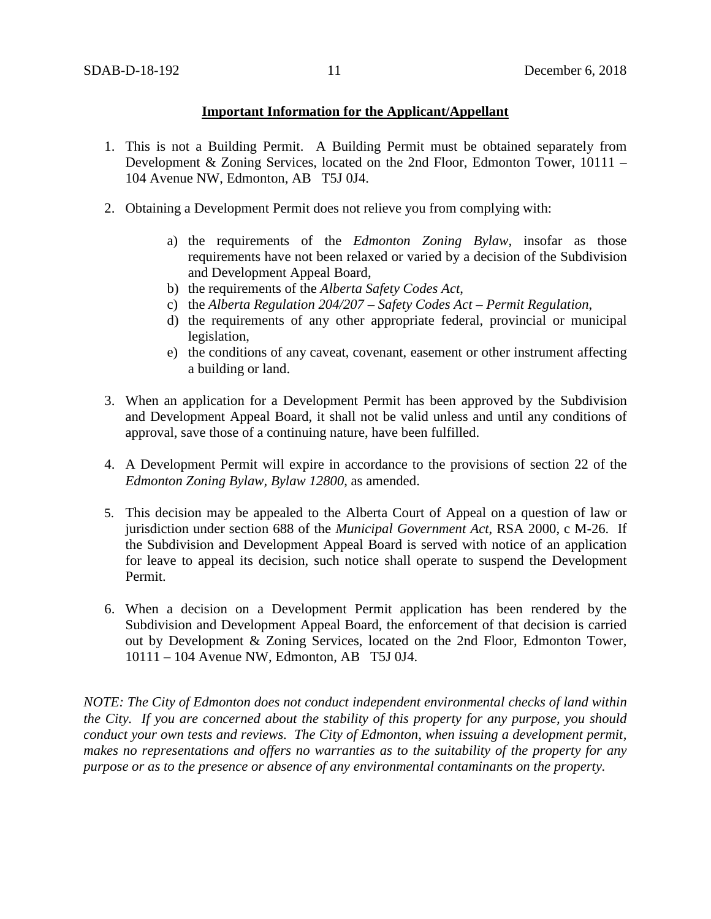## **Important Information for the Applicant/Appellant**

- 1. This is not a Building Permit. A Building Permit must be obtained separately from Development & Zoning Services, located on the 2nd Floor, Edmonton Tower, 10111 – 104 Avenue NW, Edmonton, AB T5J 0J4.
- 2. Obtaining a Development Permit does not relieve you from complying with:
	- a) the requirements of the *Edmonton Zoning Bylaw*, insofar as those requirements have not been relaxed or varied by a decision of the Subdivision and Development Appeal Board,
	- b) the requirements of the *Alberta Safety Codes Act*,
	- c) the *Alberta Regulation 204/207 – Safety Codes Act – Permit Regulation*,
	- d) the requirements of any other appropriate federal, provincial or municipal legislation,
	- e) the conditions of any caveat, covenant, easement or other instrument affecting a building or land.
- 3. When an application for a Development Permit has been approved by the Subdivision and Development Appeal Board, it shall not be valid unless and until any conditions of approval, save those of a continuing nature, have been fulfilled.
- 4. A Development Permit will expire in accordance to the provisions of section 22 of the *Edmonton Zoning Bylaw, Bylaw 12800*, as amended.
- 5. This decision may be appealed to the Alberta Court of Appeal on a question of law or jurisdiction under section 688 of the *Municipal Government Act*, RSA 2000, c M-26. If the Subdivision and Development Appeal Board is served with notice of an application for leave to appeal its decision, such notice shall operate to suspend the Development Permit.
- 6. When a decision on a Development Permit application has been rendered by the Subdivision and Development Appeal Board, the enforcement of that decision is carried out by Development & Zoning Services, located on the 2nd Floor, Edmonton Tower, 10111 – 104 Avenue NW, Edmonton, AB T5J 0J4.

*NOTE: The City of Edmonton does not conduct independent environmental checks of land within the City. If you are concerned about the stability of this property for any purpose, you should conduct your own tests and reviews. The City of Edmonton, when issuing a development permit, makes no representations and offers no warranties as to the suitability of the property for any purpose or as to the presence or absence of any environmental contaminants on the property.*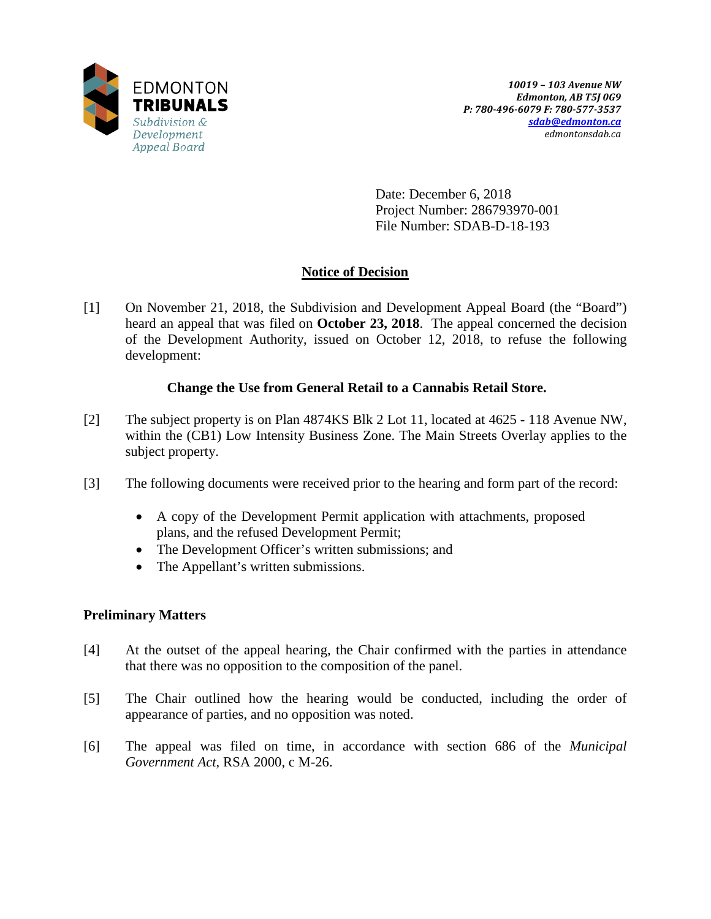

Date: December 6, 2018 Project Number: 286793970-001 File Number: SDAB-D-18-193

# **Notice of Decision**

[1] On November 21, 2018, the Subdivision and Development Appeal Board (the "Board") heard an appeal that was filed on **October 23, 2018**. The appeal concerned the decision of the Development Authority, issued on October 12, 2018, to refuse the following development:

# **Change the Use from General Retail to a Cannabis Retail Store.**

- [2] The subject property is on Plan 4874KS Blk 2 Lot 11, located at 4625 118 Avenue NW, within the (CB1) Low Intensity Business Zone. The Main Streets Overlay applies to the subject property.
- [3] The following documents were received prior to the hearing and form part of the record:
	- A copy of the Development Permit application with attachments, proposed plans, and the refused Development Permit;
	- The Development Officer's written submissions; and
	- The Appellant's written submissions.

# **Preliminary Matters**

- [4] At the outset of the appeal hearing, the Chair confirmed with the parties in attendance that there was no opposition to the composition of the panel.
- [5] The Chair outlined how the hearing would be conducted, including the order of appearance of parties, and no opposition was noted.
- [6] The appeal was filed on time, in accordance with section 686 of the *Municipal Government Act*, RSA 2000, c M-26.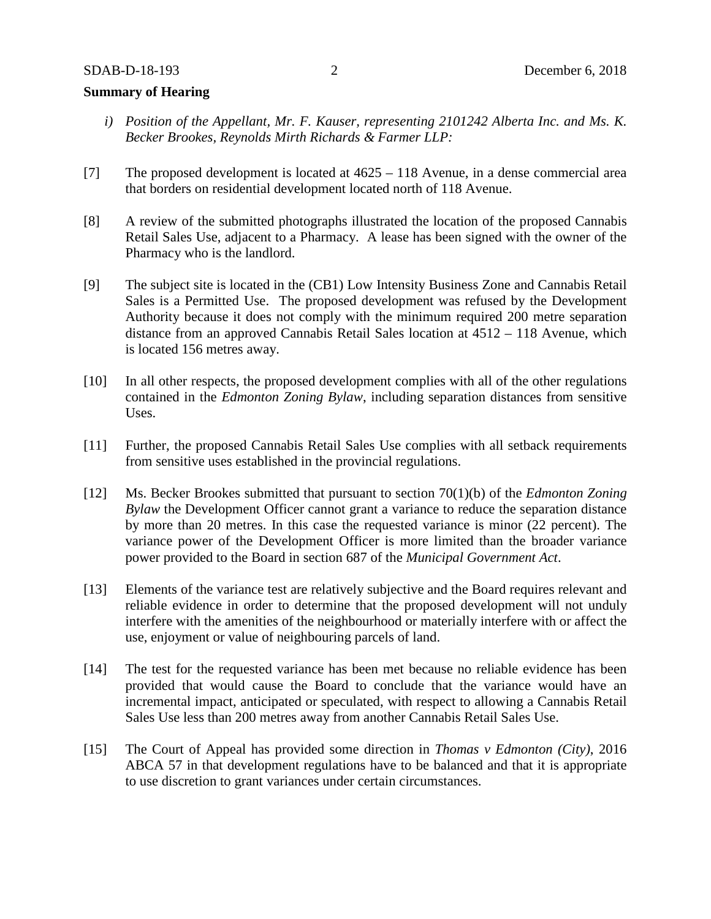## **Summary of Hearing**

- *i) Position of the Appellant, Mr. F. Kauser, representing 2101242 Alberta Inc. and Ms. K. Becker Brookes, Reynolds Mirth Richards & Farmer LLP:*
- [7] The proposed development is located at  $4625 118$  Avenue, in a dense commercial area that borders on residential development located north of 118 Avenue.
- [8] A review of the submitted photographs illustrated the location of the proposed Cannabis Retail Sales Use, adjacent to a Pharmacy. A lease has been signed with the owner of the Pharmacy who is the landlord.
- [9] The subject site is located in the (CB1) Low Intensity Business Zone and Cannabis Retail Sales is a Permitted Use. The proposed development was refused by the Development Authority because it does not comply with the minimum required 200 metre separation distance from an approved Cannabis Retail Sales location at 4512 – 118 Avenue, which is located 156 metres away.
- [10] In all other respects, the proposed development complies with all of the other regulations contained in the *Edmonton Zoning Bylaw*, including separation distances from sensitive Uses.
- [11] Further, the proposed Cannabis Retail Sales Use complies with all setback requirements from sensitive uses established in the provincial regulations.
- [12] Ms. Becker Brookes submitted that pursuant to section 70(1)(b) of the *Edmonton Zoning Bylaw* the Development Officer cannot grant a variance to reduce the separation distance by more than 20 metres. In this case the requested variance is minor (22 percent). The variance power of the Development Officer is more limited than the broader variance power provided to the Board in section 687 of the *Municipal Government Act*.
- [13] Elements of the variance test are relatively subjective and the Board requires relevant and reliable evidence in order to determine that the proposed development will not unduly interfere with the amenities of the neighbourhood or materially interfere with or affect the use, enjoyment or value of neighbouring parcels of land.
- [14] The test for the requested variance has been met because no reliable evidence has been provided that would cause the Board to conclude that the variance would have an incremental impact, anticipated or speculated, with respect to allowing a Cannabis Retail Sales Use less than 200 metres away from another Cannabis Retail Sales Use.
- [15] The Court of Appeal has provided some direction in *Thomas v Edmonton (City)*, 2016 ABCA 57 in that development regulations have to be balanced and that it is appropriate to use discretion to grant variances under certain circumstances.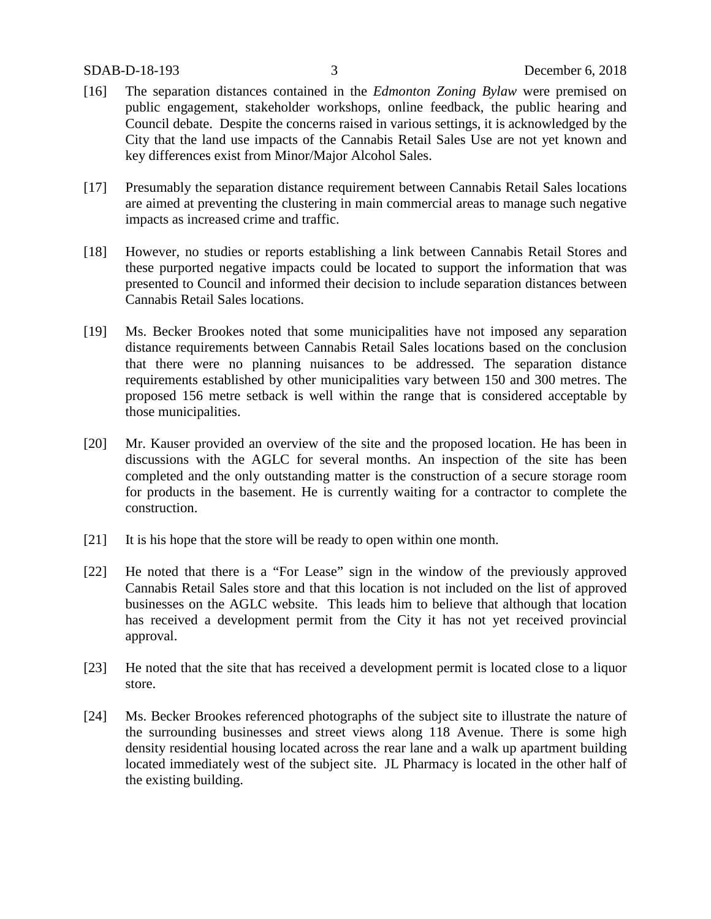- [16] The separation distances contained in the *Edmonton Zoning Bylaw* were premised on public engagement, stakeholder workshops, online feedback, the public hearing and Council debate. Despite the concerns raised in various settings, it is acknowledged by the City that the land use impacts of the Cannabis Retail Sales Use are not yet known and key differences exist from Minor/Major Alcohol Sales.
- [17] Presumably the separation distance requirement between Cannabis Retail Sales locations are aimed at preventing the clustering in main commercial areas to manage such negative impacts as increased crime and traffic.
- [18] However, no studies or reports establishing a link between Cannabis Retail Stores and these purported negative impacts could be located to support the information that was presented to Council and informed their decision to include separation distances between Cannabis Retail Sales locations.
- [19] Ms. Becker Brookes noted that some municipalities have not imposed any separation distance requirements between Cannabis Retail Sales locations based on the conclusion that there were no planning nuisances to be addressed. The separation distance requirements established by other municipalities vary between 150 and 300 metres. The proposed 156 metre setback is well within the range that is considered acceptable by those municipalities.
- [20] Mr. Kauser provided an overview of the site and the proposed location. He has been in discussions with the AGLC for several months. An inspection of the site has been completed and the only outstanding matter is the construction of a secure storage room for products in the basement. He is currently waiting for a contractor to complete the construction.
- [21] It is his hope that the store will be ready to open within one month.
- [22] He noted that there is a "For Lease" sign in the window of the previously approved Cannabis Retail Sales store and that this location is not included on the list of approved businesses on the AGLC website. This leads him to believe that although that location has received a development permit from the City it has not yet received provincial approval.
- [23] He noted that the site that has received a development permit is located close to a liquor store.
- [24] Ms. Becker Brookes referenced photographs of the subject site to illustrate the nature of the surrounding businesses and street views along 118 Avenue. There is some high density residential housing located across the rear lane and a walk up apartment building located immediately west of the subject site. JL Pharmacy is located in the other half of the existing building.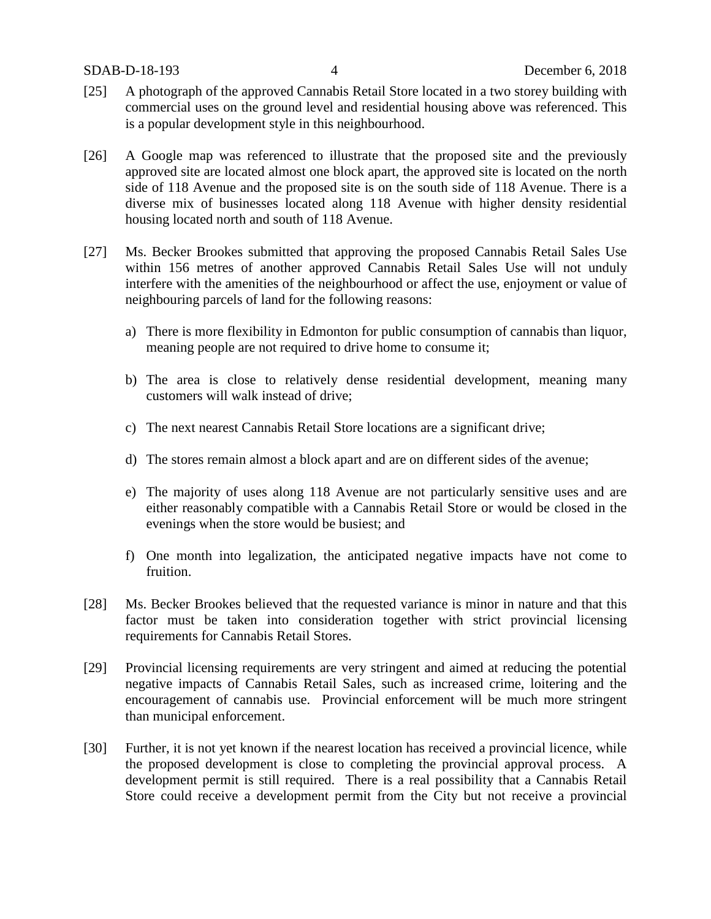- [25] A photograph of the approved Cannabis Retail Store located in a two storey building with commercial uses on the ground level and residential housing above was referenced. This is a popular development style in this neighbourhood.
- [26] A Google map was referenced to illustrate that the proposed site and the previously approved site are located almost one block apart, the approved site is located on the north side of 118 Avenue and the proposed site is on the south side of 118 Avenue. There is a diverse mix of businesses located along 118 Avenue with higher density residential housing located north and south of 118 Avenue.
- [27] Ms. Becker Brookes submitted that approving the proposed Cannabis Retail Sales Use within 156 metres of another approved Cannabis Retail Sales Use will not unduly interfere with the amenities of the neighbourhood or affect the use, enjoyment or value of neighbouring parcels of land for the following reasons:
	- a) There is more flexibility in Edmonton for public consumption of cannabis than liquor, meaning people are not required to drive home to consume it;
	- b) The area is close to relatively dense residential development, meaning many customers will walk instead of drive;
	- c) The next nearest Cannabis Retail Store locations are a significant drive;
	- d) The stores remain almost a block apart and are on different sides of the avenue;
	- e) The majority of uses along 118 Avenue are not particularly sensitive uses and are either reasonably compatible with a Cannabis Retail Store or would be closed in the evenings when the store would be busiest; and
	- f) One month into legalization, the anticipated negative impacts have not come to fruition.
- [28] Ms. Becker Brookes believed that the requested variance is minor in nature and that this factor must be taken into consideration together with strict provincial licensing requirements for Cannabis Retail Stores.
- [29] Provincial licensing requirements are very stringent and aimed at reducing the potential negative impacts of Cannabis Retail Sales, such as increased crime, loitering and the encouragement of cannabis use. Provincial enforcement will be much more stringent than municipal enforcement.
- [30] Further, it is not yet known if the nearest location has received a provincial licence, while the proposed development is close to completing the provincial approval process. A development permit is still required. There is a real possibility that a Cannabis Retail Store could receive a development permit from the City but not receive a provincial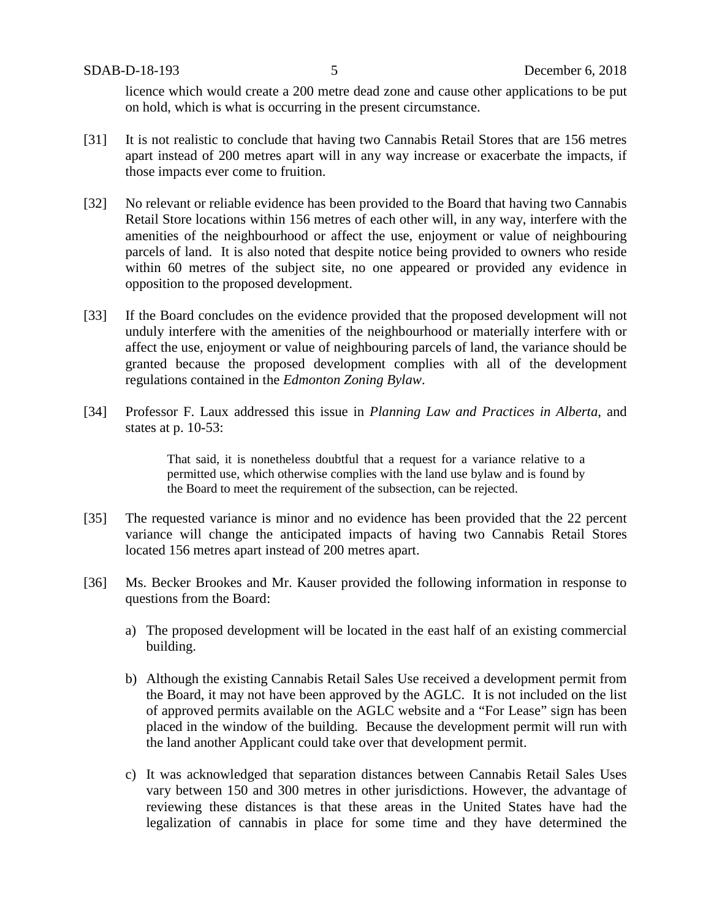SDAB-D-18-193 5 December 6, 2018

licence which would create a 200 metre dead zone and cause other applications to be put on hold, which is what is occurring in the present circumstance.

- [31] It is not realistic to conclude that having two Cannabis Retail Stores that are 156 metres apart instead of 200 metres apart will in any way increase or exacerbate the impacts, if those impacts ever come to fruition.
- [32] No relevant or reliable evidence has been provided to the Board that having two Cannabis Retail Store locations within 156 metres of each other will, in any way, interfere with the amenities of the neighbourhood or affect the use, enjoyment or value of neighbouring parcels of land. It is also noted that despite notice being provided to owners who reside within 60 metres of the subject site, no one appeared or provided any evidence in opposition to the proposed development.
- [33] If the Board concludes on the evidence provided that the proposed development will not unduly interfere with the amenities of the neighbourhood or materially interfere with or affect the use, enjoyment or value of neighbouring parcels of land, the variance should be granted because the proposed development complies with all of the development regulations contained in the *Edmonton Zoning Bylaw*.
- [34] Professor F. Laux addressed this issue in *Planning Law and Practices in Alberta*, and states at p. 10-53:

That said, it is nonetheless doubtful that a request for a variance relative to a permitted use, which otherwise complies with the land use bylaw and is found by the Board to meet the requirement of the subsection, can be rejected.

- [35] The requested variance is minor and no evidence has been provided that the 22 percent variance will change the anticipated impacts of having two Cannabis Retail Stores located 156 metres apart instead of 200 metres apart.
- [36] Ms. Becker Brookes and Mr. Kauser provided the following information in response to questions from the Board:
	- a) The proposed development will be located in the east half of an existing commercial building.
	- b) Although the existing Cannabis Retail Sales Use received a development permit from the Board, it may not have been approved by the AGLC. It is not included on the list of approved permits available on the AGLC website and a "For Lease" sign has been placed in the window of the building. Because the development permit will run with the land another Applicant could take over that development permit.
	- c) It was acknowledged that separation distances between Cannabis Retail Sales Uses vary between 150 and 300 metres in other jurisdictions. However, the advantage of reviewing these distances is that these areas in the United States have had the legalization of cannabis in place for some time and they have determined the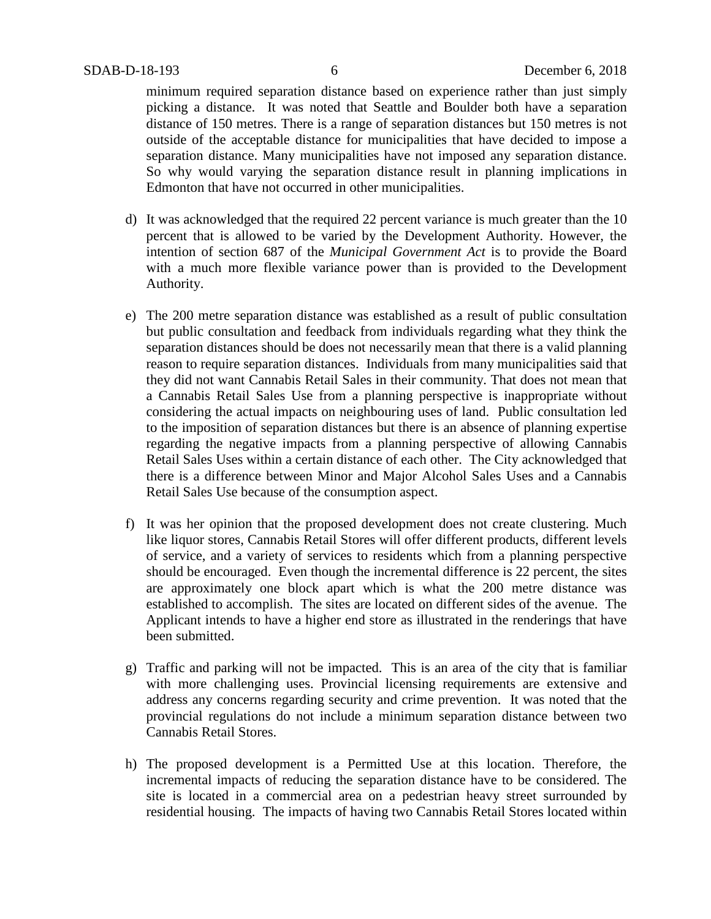minimum required separation distance based on experience rather than just simply picking a distance. It was noted that Seattle and Boulder both have a separation distance of 150 metres. There is a range of separation distances but 150 metres is not outside of the acceptable distance for municipalities that have decided to impose a separation distance. Many municipalities have not imposed any separation distance. So why would varying the separation distance result in planning implications in Edmonton that have not occurred in other municipalities.

- d) It was acknowledged that the required 22 percent variance is much greater than the 10 percent that is allowed to be varied by the Development Authority. However, the intention of section 687 of the *Municipal Government Act* is to provide the Board with a much more flexible variance power than is provided to the Development Authority.
- e) The 200 metre separation distance was established as a result of public consultation but public consultation and feedback from individuals regarding what they think the separation distances should be does not necessarily mean that there is a valid planning reason to require separation distances. Individuals from many municipalities said that they did not want Cannabis Retail Sales in their community. That does not mean that a Cannabis Retail Sales Use from a planning perspective is inappropriate without considering the actual impacts on neighbouring uses of land. Public consultation led to the imposition of separation distances but there is an absence of planning expertise regarding the negative impacts from a planning perspective of allowing Cannabis Retail Sales Uses within a certain distance of each other. The City acknowledged that there is a difference between Minor and Major Alcohol Sales Uses and a Cannabis Retail Sales Use because of the consumption aspect.
- f) It was her opinion that the proposed development does not create clustering. Much like liquor stores, Cannabis Retail Stores will offer different products, different levels of service, and a variety of services to residents which from a planning perspective should be encouraged. Even though the incremental difference is 22 percent, the sites are approximately one block apart which is what the 200 metre distance was established to accomplish. The sites are located on different sides of the avenue. The Applicant intends to have a higher end store as illustrated in the renderings that have been submitted.
- g) Traffic and parking will not be impacted. This is an area of the city that is familiar with more challenging uses. Provincial licensing requirements are extensive and address any concerns regarding security and crime prevention. It was noted that the provincial regulations do not include a minimum separation distance between two Cannabis Retail Stores.
- h) The proposed development is a Permitted Use at this location. Therefore, the incremental impacts of reducing the separation distance have to be considered. The site is located in a commercial area on a pedestrian heavy street surrounded by residential housing. The impacts of having two Cannabis Retail Stores located within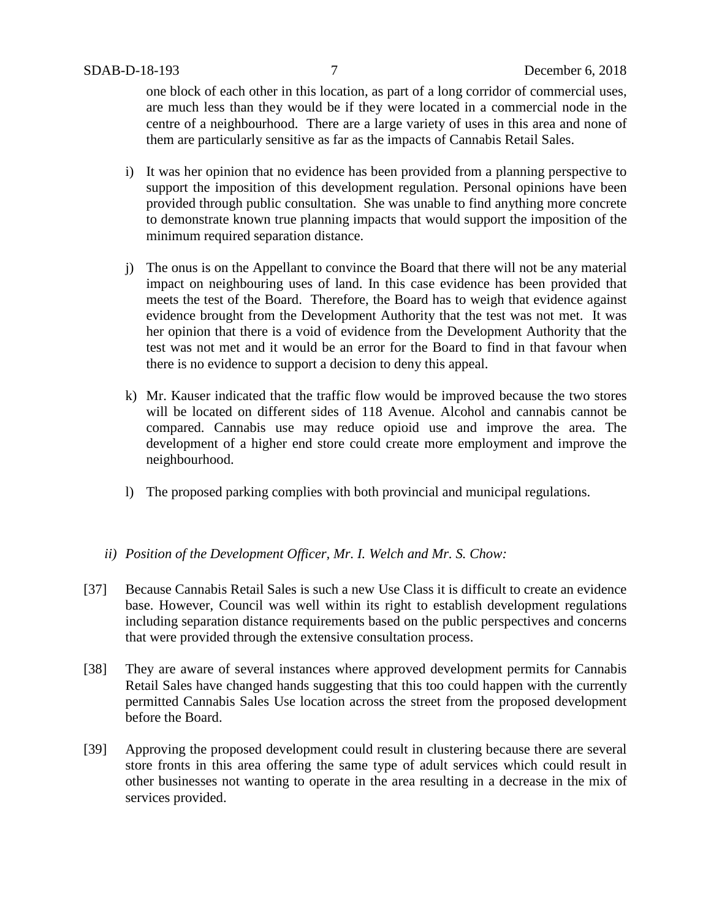one block of each other in this location, as part of a long corridor of commercial uses, are much less than they would be if they were located in a commercial node in the centre of a neighbourhood. There are a large variety of uses in this area and none of them are particularly sensitive as far as the impacts of Cannabis Retail Sales.

- i) It was her opinion that no evidence has been provided from a planning perspective to support the imposition of this development regulation. Personal opinions have been provided through public consultation. She was unable to find anything more concrete to demonstrate known true planning impacts that would support the imposition of the minimum required separation distance.
- j) The onus is on the Appellant to convince the Board that there will not be any material impact on neighbouring uses of land. In this case evidence has been provided that meets the test of the Board. Therefore, the Board has to weigh that evidence against evidence brought from the Development Authority that the test was not met. It was her opinion that there is a void of evidence from the Development Authority that the test was not met and it would be an error for the Board to find in that favour when there is no evidence to support a decision to deny this appeal.
- k) Mr. Kauser indicated that the traffic flow would be improved because the two stores will be located on different sides of 118 Avenue. Alcohol and cannabis cannot be compared. Cannabis use may reduce opioid use and improve the area. The development of a higher end store could create more employment and improve the neighbourhood.
- l) The proposed parking complies with both provincial and municipal regulations.

## *ii) Position of the Development Officer, Mr. I. Welch and Mr. S. Chow:*

- [37] Because Cannabis Retail Sales is such a new Use Class it is difficult to create an evidence base. However, Council was well within its right to establish development regulations including separation distance requirements based on the public perspectives and concerns that were provided through the extensive consultation process.
- [38] They are aware of several instances where approved development permits for Cannabis Retail Sales have changed hands suggesting that this too could happen with the currently permitted Cannabis Sales Use location across the street from the proposed development before the Board.
- [39] Approving the proposed development could result in clustering because there are several store fronts in this area offering the same type of adult services which could result in other businesses not wanting to operate in the area resulting in a decrease in the mix of services provided.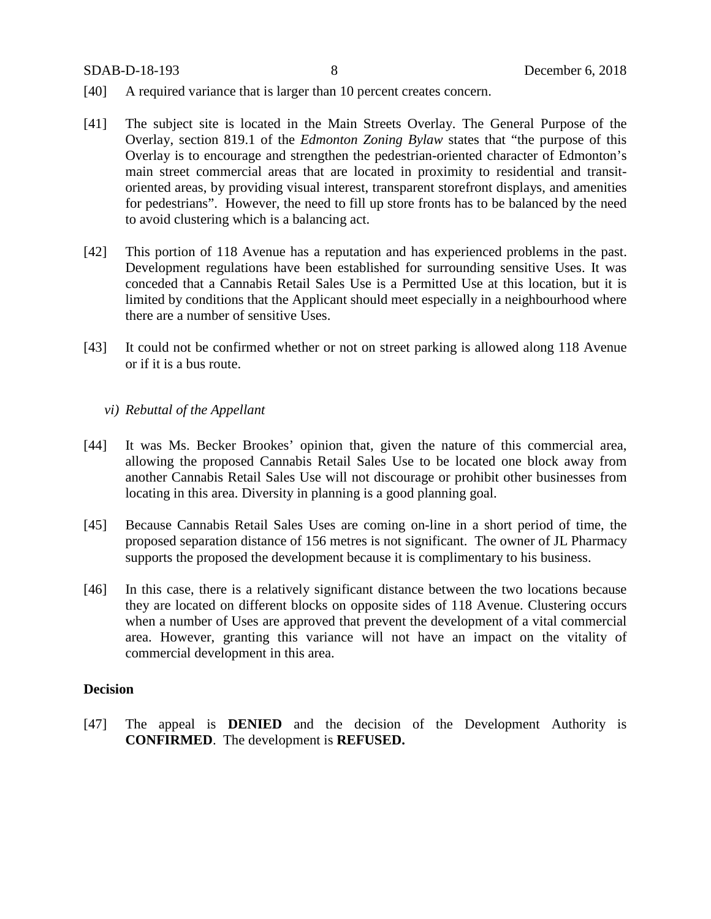- [40] A required variance that is larger than 10 percent creates concern.
- [41] The subject site is located in the Main Streets Overlay. The General Purpose of the Overlay, section 819.1 of the *Edmonton Zoning Bylaw* states that "the purpose of this Overlay is to encourage and strengthen the pedestrian-oriented character of Edmonton's main street commercial areas that are located in proximity to residential and transitoriented areas, by providing visual interest, transparent storefront displays, and amenities for pedestrians". However, the need to fill up store fronts has to be balanced by the need to avoid clustering which is a balancing act.
- [42] This portion of 118 Avenue has a reputation and has experienced problems in the past. Development regulations have been established for surrounding sensitive Uses. It was conceded that a Cannabis Retail Sales Use is a Permitted Use at this location, but it is limited by conditions that the Applicant should meet especially in a neighbourhood where there are a number of sensitive Uses.
- [43] It could not be confirmed whether or not on street parking is allowed along 118 Avenue or if it is a bus route.

#### *vi) Rebuttal of the Appellant*

- [44] It was Ms. Becker Brookes' opinion that, given the nature of this commercial area, allowing the proposed Cannabis Retail Sales Use to be located one block away from another Cannabis Retail Sales Use will not discourage or prohibit other businesses from locating in this area. Diversity in planning is a good planning goal.
- [45] Because Cannabis Retail Sales Uses are coming on-line in a short period of time, the proposed separation distance of 156 metres is not significant. The owner of JL Pharmacy supports the proposed the development because it is complimentary to his business.
- [46] In this case, there is a relatively significant distance between the two locations because they are located on different blocks on opposite sides of 118 Avenue. Clustering occurs when a number of Uses are approved that prevent the development of a vital commercial area. However, granting this variance will not have an impact on the vitality of commercial development in this area.

### **Decision**

[47] The appeal is **DENIED** and the decision of the Development Authority is **CONFIRMED**. The development is **REFUSED.**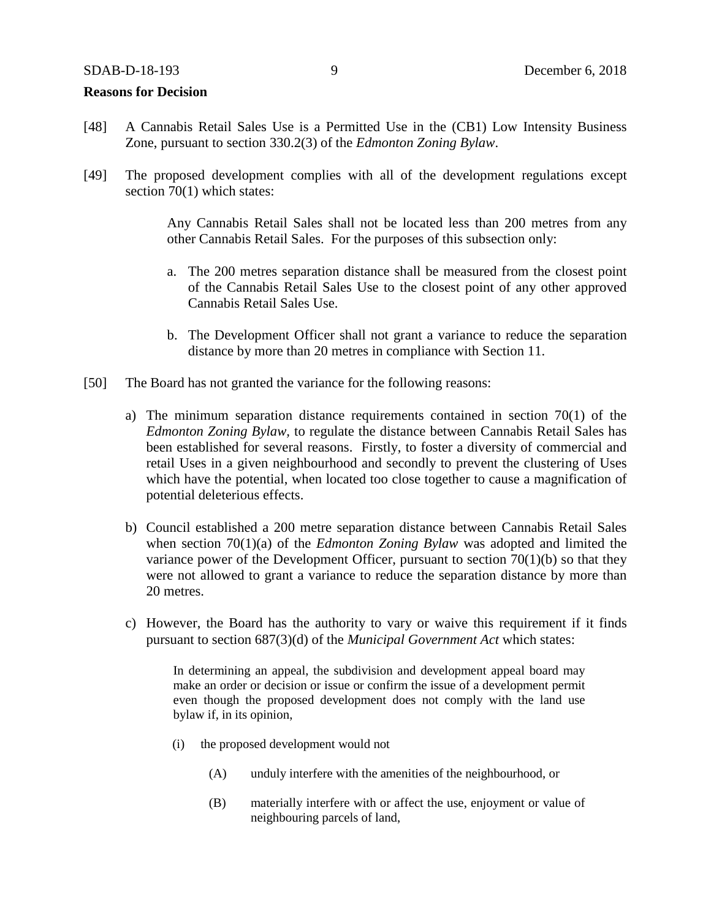#### **Reasons for Decision**

- [48] A Cannabis Retail Sales Use is a Permitted Use in the (CB1) Low Intensity Business Zone, pursuant to section 330.2(3) of the *Edmonton Zoning Bylaw*.
- [49] The proposed development complies with all of the development regulations except section 70(1) which states:

Any Cannabis Retail Sales shall not be located less than 200 metres from any other Cannabis Retail Sales. For the purposes of this subsection only:

- a. The 200 metres separation distance shall be measured from the closest point of the Cannabis Retail Sales Use to the closest point of any other approved Cannabis Retail Sales Use.
- b. The Development Officer shall not grant a variance to reduce the separation distance by more than 20 metres in compliance with Section 11.
- [50] The Board has not granted the variance for the following reasons:
	- a) The minimum separation distance requirements contained in section 70(1) of the *Edmonton Zoning Bylaw,* to regulate the distance between Cannabis Retail Sales has been established for several reasons. Firstly, to foster a diversity of commercial and retail Uses in a given neighbourhood and secondly to prevent the clustering of Uses which have the potential, when located too close together to cause a magnification of potential deleterious effects.
	- b) Council established a 200 metre separation distance between Cannabis Retail Sales when section 70(1)(a) of the *Edmonton Zoning Bylaw* was adopted and limited the variance power of the Development Officer, pursuant to section  $70(1)(b)$  so that they were not allowed to grant a variance to reduce the separation distance by more than 20 metres.
	- c) However, the Board has the authority to vary or waive this requirement if it finds pursuant to section 687(3)(d) of the *Municipal Government Act* which states:

In determining an appeal, the subdivision and development appeal board may make an order or decision or issue or confirm the issue of a development permit even though the proposed development does not comply with the land use bylaw if, in its opinion,

- (i) the proposed development would not
	- (A) unduly interfere with the amenities of the neighbourhood, or
	- (B) materially interfere with or affect the use, enjoyment or value of neighbouring parcels of land,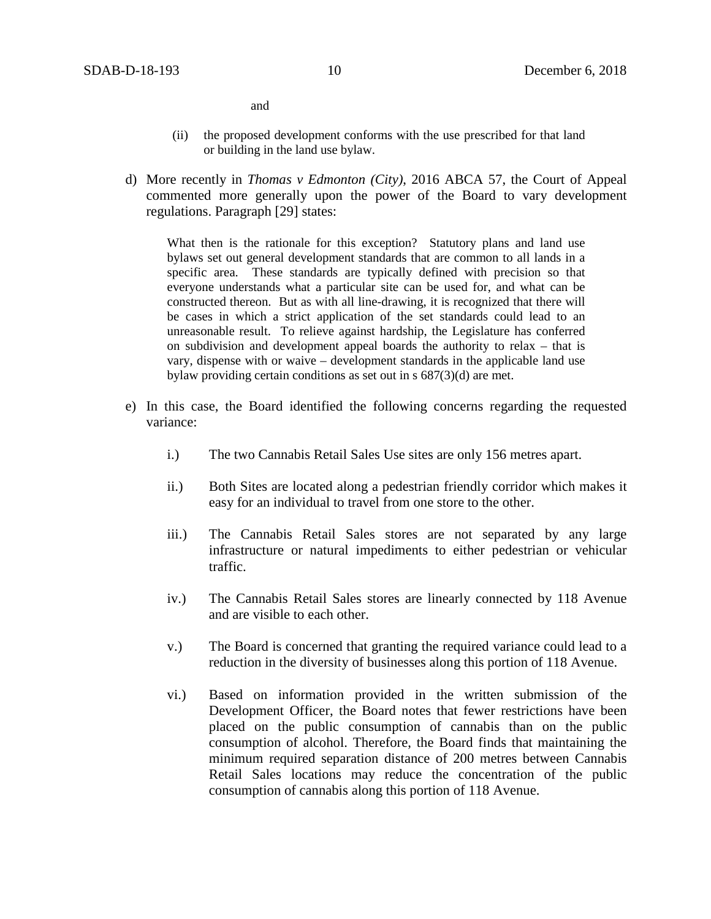and

- (ii) the proposed development conforms with the use prescribed for that land or building in the land use bylaw.
- d) More recently in *Thomas v Edmonton (City)*, 2016 ABCA 57, the Court of Appeal commented more generally upon the power of the Board to vary development regulations. Paragraph [29] states:

What then is the rationale for this exception? Statutory plans and land use bylaws set out general development standards that are common to all lands in a specific area. These standards are typically defined with precision so that everyone understands what a particular site can be used for, and what can be constructed thereon. But as with all line-drawing, it is recognized that there will be cases in which a strict application of the set standards could lead to an unreasonable result. To relieve against hardship, the Legislature has conferred on subdivision and development appeal boards the authority to relax – that is vary, dispense with or waive – development standards in the applicable land use bylaw providing certain conditions as set out in s 687(3)(d) are met.

- e) In this case, the Board identified the following concerns regarding the requested variance:
	- i.) The two Cannabis Retail Sales Use sites are only 156 metres apart.
	- ii.) Both Sites are located along a pedestrian friendly corridor which makes it easy for an individual to travel from one store to the other.
	- iii.) The Cannabis Retail Sales stores are not separated by any large infrastructure or natural impediments to either pedestrian or vehicular traffic.
	- iv.) The Cannabis Retail Sales stores are linearly connected by 118 Avenue and are visible to each other.
	- v.) The Board is concerned that granting the required variance could lead to a reduction in the diversity of businesses along this portion of 118 Avenue.
	- vi.) Based on information provided in the written submission of the Development Officer, the Board notes that fewer restrictions have been placed on the public consumption of cannabis than on the public consumption of alcohol. Therefore, the Board finds that maintaining the minimum required separation distance of 200 metres between Cannabis Retail Sales locations may reduce the concentration of the public consumption of cannabis along this portion of 118 Avenue.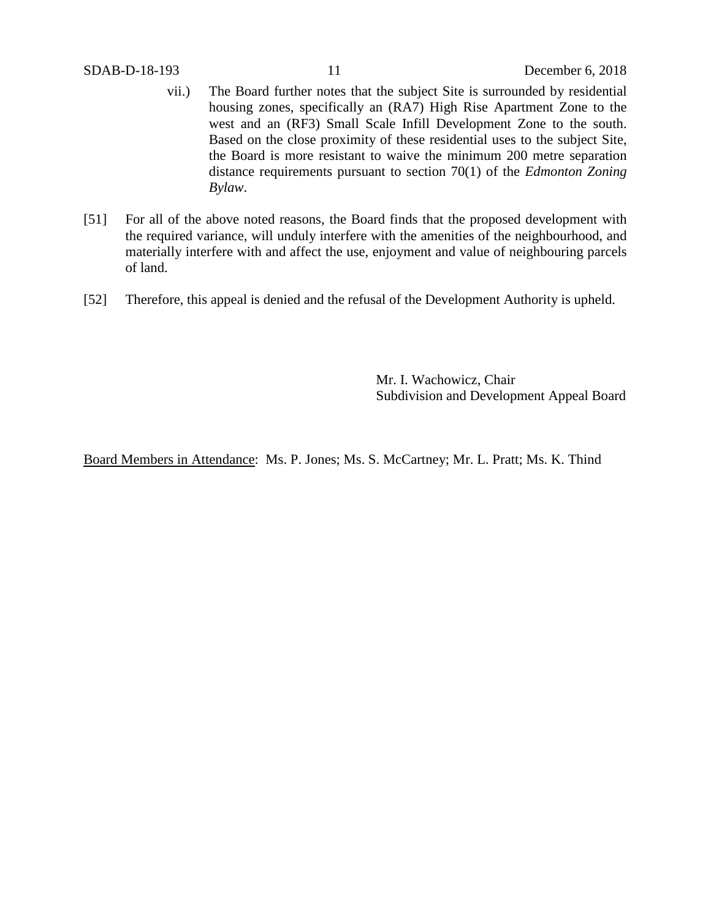- vii.) The Board further notes that the subject Site is surrounded by residential housing zones, specifically an (RA7) High Rise Apartment Zone to the west and an (RF3) Small Scale Infill Development Zone to the south. Based on the close proximity of these residential uses to the subject Site, the Board is more resistant to waive the minimum 200 metre separation distance requirements pursuant to section 70(1) of the *Edmonton Zoning Bylaw*.
- [51] For all of the above noted reasons, the Board finds that the proposed development with the required variance, will unduly interfere with the amenities of the neighbourhood, and materially interfere with and affect the use, enjoyment and value of neighbouring parcels of land.
- [52] Therefore, this appeal is denied and the refusal of the Development Authority is upheld.

Mr. I. Wachowicz, Chair Subdivision and Development Appeal Board

Board Members in Attendance: Ms. P. Jones; Ms. S. McCartney; Mr. L. Pratt; Ms. K. Thind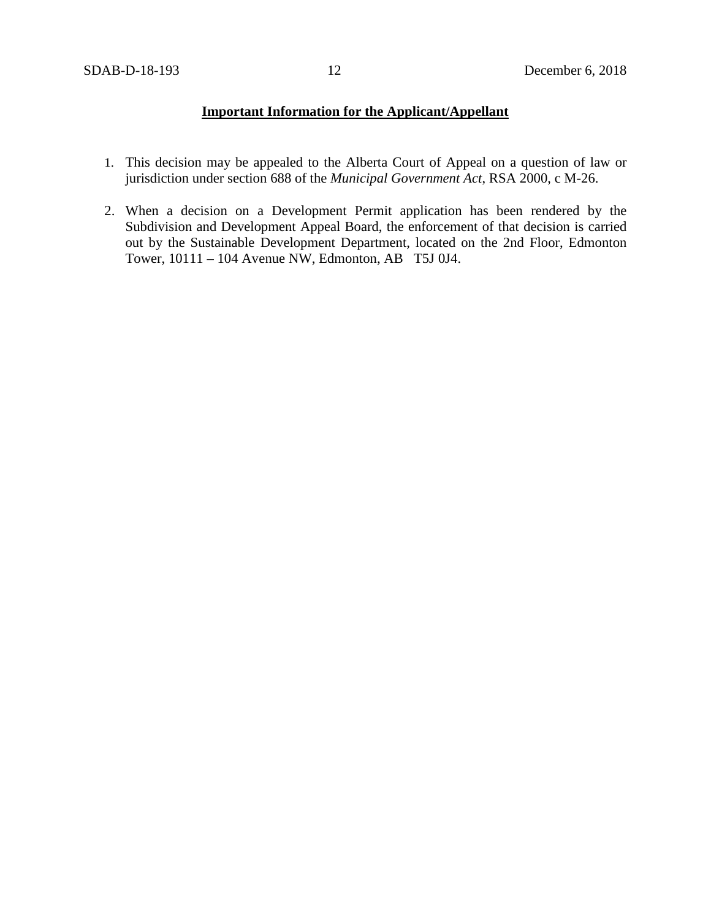# **Important Information for the Applicant/Appellant**

- 1. This decision may be appealed to the Alberta Court of Appeal on a question of law or jurisdiction under section 688 of the *Municipal Government Act*, RSA 2000, c M-26.
- 2. When a decision on a Development Permit application has been rendered by the Subdivision and Development Appeal Board, the enforcement of that decision is carried out by the Sustainable Development Department, located on the 2nd Floor, Edmonton Tower, 10111 – 104 Avenue NW, Edmonton, AB T5J 0J4.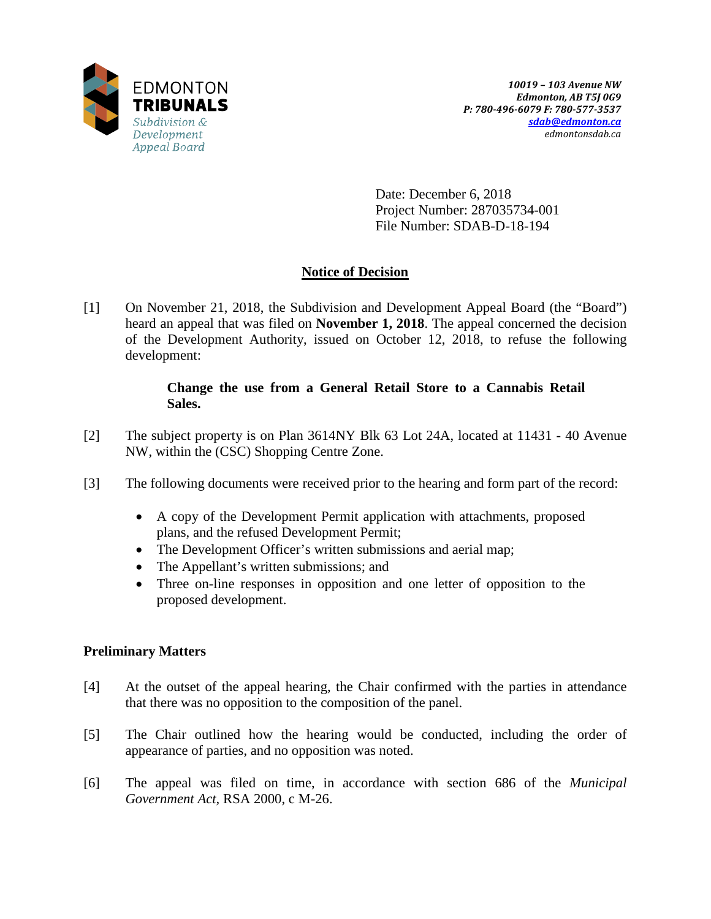

Date: December 6, 2018 Project Number: 287035734-001 File Number: SDAB-D-18-194

# **Notice of Decision**

[1] On November 21, 2018, the Subdivision and Development Appeal Board (the "Board") heard an appeal that was filed on **November 1, 2018**. The appeal concerned the decision of the Development Authority, issued on October 12, 2018, to refuse the following development:

## **Change the use from a General Retail Store to a Cannabis Retail Sales.**

- [2] The subject property is on Plan 3614NY Blk 63 Lot 24A, located at 11431 40 Avenue NW, within the (CSC) Shopping Centre Zone.
- [3] The following documents were received prior to the hearing and form part of the record:
	- A copy of the Development Permit application with attachments, proposed plans, and the refused Development Permit;
	- The Development Officer's written submissions and aerial map;
	- The Appellant's written submissions; and
	- Three on-line responses in opposition and one letter of opposition to the proposed development.

# **Preliminary Matters**

- [4] At the outset of the appeal hearing, the Chair confirmed with the parties in attendance that there was no opposition to the composition of the panel.
- [5] The Chair outlined how the hearing would be conducted, including the order of appearance of parties, and no opposition was noted.
- [6] The appeal was filed on time, in accordance with section 686 of the *Municipal Government Act*, RSA 2000, c M-26.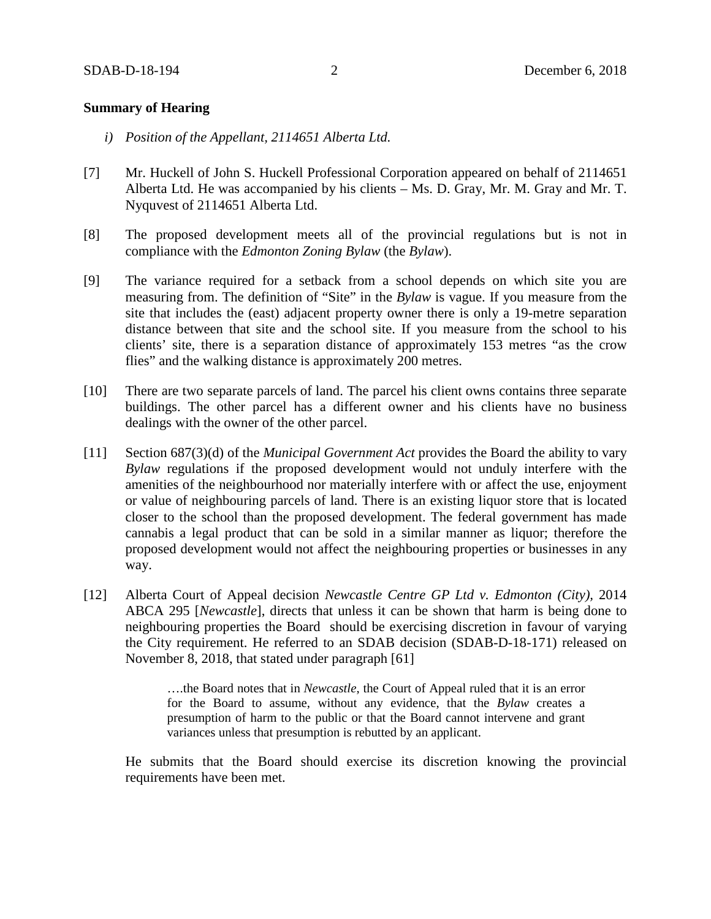#### **Summary of Hearing**

- *i) Position of the Appellant, 2114651 Alberta Ltd.*
- [7] Mr. Huckell of John S. Huckell Professional Corporation appeared on behalf of 2114651 Alberta Ltd. He was accompanied by his clients – Ms. D. Gray, Mr. M. Gray and Mr. T. Nyquvest of 2114651 Alberta Ltd.
- [8] The proposed development meets all of the provincial regulations but is not in compliance with the *Edmonton Zoning Bylaw* (the *Bylaw*).
- [9] The variance required for a setback from a school depends on which site you are measuring from. The definition of "Site" in the *Bylaw* is vague. If you measure from the site that includes the (east) adjacent property owner there is only a 19-metre separation distance between that site and the school site. If you measure from the school to his clients' site, there is a separation distance of approximately 153 metres "as the crow flies" and the walking distance is approximately 200 metres.
- [10] There are two separate parcels of land. The parcel his client owns contains three separate buildings. The other parcel has a different owner and his clients have no business dealings with the owner of the other parcel.
- [11] Section 687(3)(d) of the *Municipal Government Act* provides the Board the ability to vary *Bylaw* regulations if the proposed development would not unduly interfere with the amenities of the neighbourhood nor materially interfere with or affect the use, enjoyment or value of neighbouring parcels of land. There is an existing liquor store that is located closer to the school than the proposed development. The federal government has made cannabis a legal product that can be sold in a similar manner as liquor; therefore the proposed development would not affect the neighbouring properties or businesses in any way.
- [12] Alberta Court of Appeal decision *Newcastle Centre GP Ltd v. Edmonton (City),* 2014 ABCA 295 [*Newcastle*], directs that unless it can be shown that harm is being done to neighbouring properties the Board should be exercising discretion in favour of varying the City requirement. He referred to an SDAB decision (SDAB-D-18-171) released on November 8, 2018, that stated under paragraph [61]

….the Board notes that in *Newcastle*, the Court of Appeal ruled that it is an error for the Board to assume, without any evidence, that the *Bylaw* creates a presumption of harm to the public or that the Board cannot intervene and grant variances unless that presumption is rebutted by an applicant.

He submits that the Board should exercise its discretion knowing the provincial requirements have been met.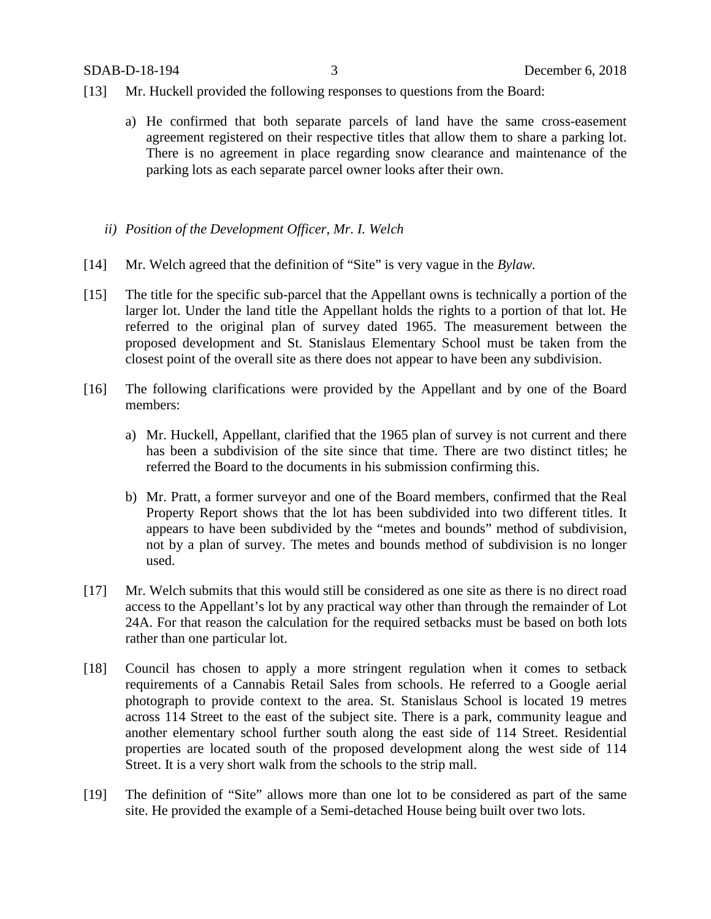- [13] Mr. Huckell provided the following responses to questions from the Board:
	- a) He confirmed that both separate parcels of land have the same cross-easement agreement registered on their respective titles that allow them to share a parking lot. There is no agreement in place regarding snow clearance and maintenance of the parking lots as each separate parcel owner looks after their own.
	- *ii) Position of the Development Officer, Mr. I. Welch*
- [14] Mr. Welch agreed that the definition of "Site" is very vague in the *Bylaw.*
- [15] The title for the specific sub-parcel that the Appellant owns is technically a portion of the larger lot. Under the land title the Appellant holds the rights to a portion of that lot. He referred to the original plan of survey dated 1965. The measurement between the proposed development and St. Stanislaus Elementary School must be taken from the closest point of the overall site as there does not appear to have been any subdivision.
- [16] The following clarifications were provided by the Appellant and by one of the Board members:
	- a) Mr. Huckell, Appellant, clarified that the 1965 plan of survey is not current and there has been a subdivision of the site since that time. There are two distinct titles; he referred the Board to the documents in his submission confirming this.
	- b) Mr. Pratt, a former surveyor and one of the Board members, confirmed that the Real Property Report shows that the lot has been subdivided into two different titles. It appears to have been subdivided by the "metes and bounds" method of subdivision, not by a plan of survey. The metes and bounds method of subdivision is no longer used.
- [17] Mr. Welch submits that this would still be considered as one site as there is no direct road access to the Appellant's lot by any practical way other than through the remainder of Lot 24A. For that reason the calculation for the required setbacks must be based on both lots rather than one particular lot.
- [18] Council has chosen to apply a more stringent regulation when it comes to setback requirements of a Cannabis Retail Sales from schools. He referred to a Google aerial photograph to provide context to the area. St. Stanislaus School is located 19 metres across 114 Street to the east of the subject site. There is a park, community league and another elementary school further south along the east side of 114 Street. Residential properties are located south of the proposed development along the west side of 114 Street. It is a very short walk from the schools to the strip mall.
- [19] The definition of "Site" allows more than one lot to be considered as part of the same site. He provided the example of a Semi-detached House being built over two lots.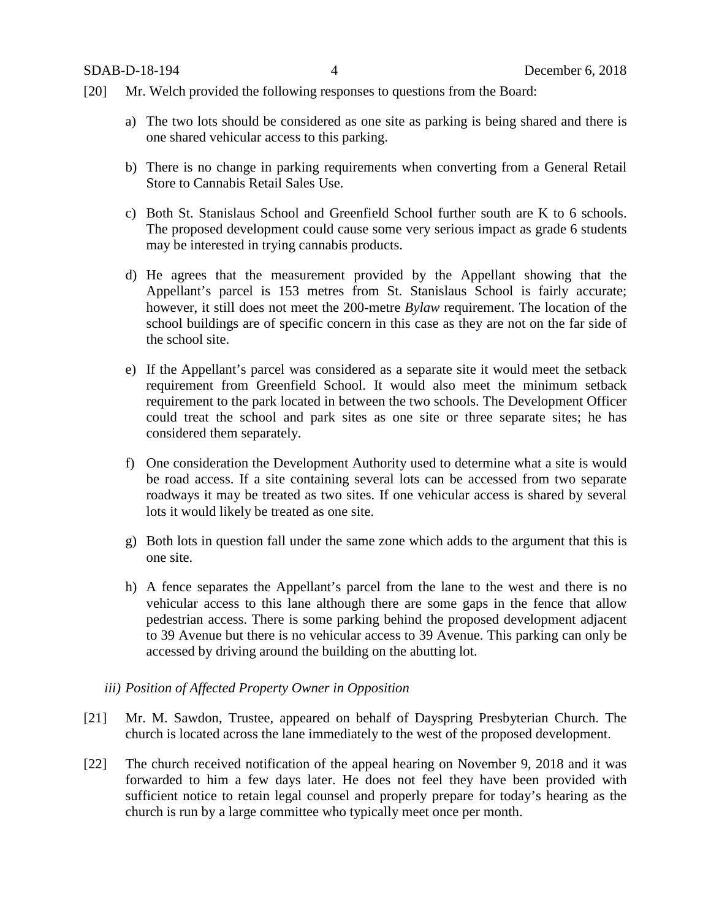- [20] Mr. Welch provided the following responses to questions from the Board:
	- a) The two lots should be considered as one site as parking is being shared and there is one shared vehicular access to this parking.
	- b) There is no change in parking requirements when converting from a General Retail Store to Cannabis Retail Sales Use.
	- c) Both St. Stanislaus School and Greenfield School further south are K to 6 schools. The proposed development could cause some very serious impact as grade 6 students may be interested in trying cannabis products.
	- d) He agrees that the measurement provided by the Appellant showing that the Appellant's parcel is 153 metres from St. Stanislaus School is fairly accurate; however, it still does not meet the 200-metre *Bylaw* requirement. The location of the school buildings are of specific concern in this case as they are not on the far side of the school site.
	- e) If the Appellant's parcel was considered as a separate site it would meet the setback requirement from Greenfield School. It would also meet the minimum setback requirement to the park located in between the two schools. The Development Officer could treat the school and park sites as one site or three separate sites; he has considered them separately.
	- f) One consideration the Development Authority used to determine what a site is would be road access. If a site containing several lots can be accessed from two separate roadways it may be treated as two sites. If one vehicular access is shared by several lots it would likely be treated as one site.
	- g) Both lots in question fall under the same zone which adds to the argument that this is one site.
	- h) A fence separates the Appellant's parcel from the lane to the west and there is no vehicular access to this lane although there are some gaps in the fence that allow pedestrian access. There is some parking behind the proposed development adjacent to 39 Avenue but there is no vehicular access to 39 Avenue. This parking can only be accessed by driving around the building on the abutting lot.
	- *iii) Position of Affected Property Owner in Opposition*
- [21] Mr. M. Sawdon, Trustee, appeared on behalf of Dayspring Presbyterian Church. The church is located across the lane immediately to the west of the proposed development.
- [22] The church received notification of the appeal hearing on November 9, 2018 and it was forwarded to him a few days later. He does not feel they have been provided with sufficient notice to retain legal counsel and properly prepare for today's hearing as the church is run by a large committee who typically meet once per month.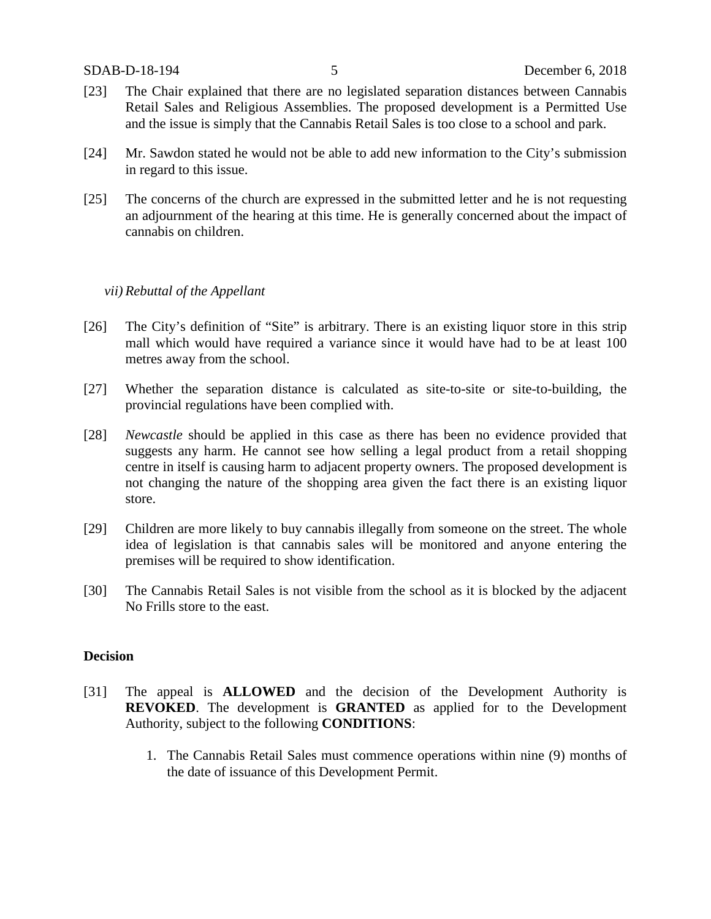- [23] The Chair explained that there are no legislated separation distances between Cannabis Retail Sales and Religious Assemblies. The proposed development is a Permitted Use and the issue is simply that the Cannabis Retail Sales is too close to a school and park.
- [24] Mr. Sawdon stated he would not be able to add new information to the City's submission in regard to this issue.
- [25] The concerns of the church are expressed in the submitted letter and he is not requesting an adjournment of the hearing at this time. He is generally concerned about the impact of cannabis on children.

#### *vii) Rebuttal of the Appellant*

- [26] The City's definition of "Site" is arbitrary. There is an existing liquor store in this strip mall which would have required a variance since it would have had to be at least 100 metres away from the school.
- [27] Whether the separation distance is calculated as site-to-site or site-to-building, the provincial regulations have been complied with.
- [28] *Newcastle* should be applied in this case as there has been no evidence provided that suggests any harm. He cannot see how selling a legal product from a retail shopping centre in itself is causing harm to adjacent property owners. The proposed development is not changing the nature of the shopping area given the fact there is an existing liquor store.
- [29] Children are more likely to buy cannabis illegally from someone on the street. The whole idea of legislation is that cannabis sales will be monitored and anyone entering the premises will be required to show identification.
- [30] The Cannabis Retail Sales is not visible from the school as it is blocked by the adjacent No Frills store to the east.

#### **Decision**

- [31] The appeal is **ALLOWED** and the decision of the Development Authority is **REVOKED**. The development is **GRANTED** as applied for to the Development Authority, subject to the following **CONDITIONS**:
	- 1. The Cannabis Retail Sales must commence operations within nine (9) months of the date of issuance of this Development Permit.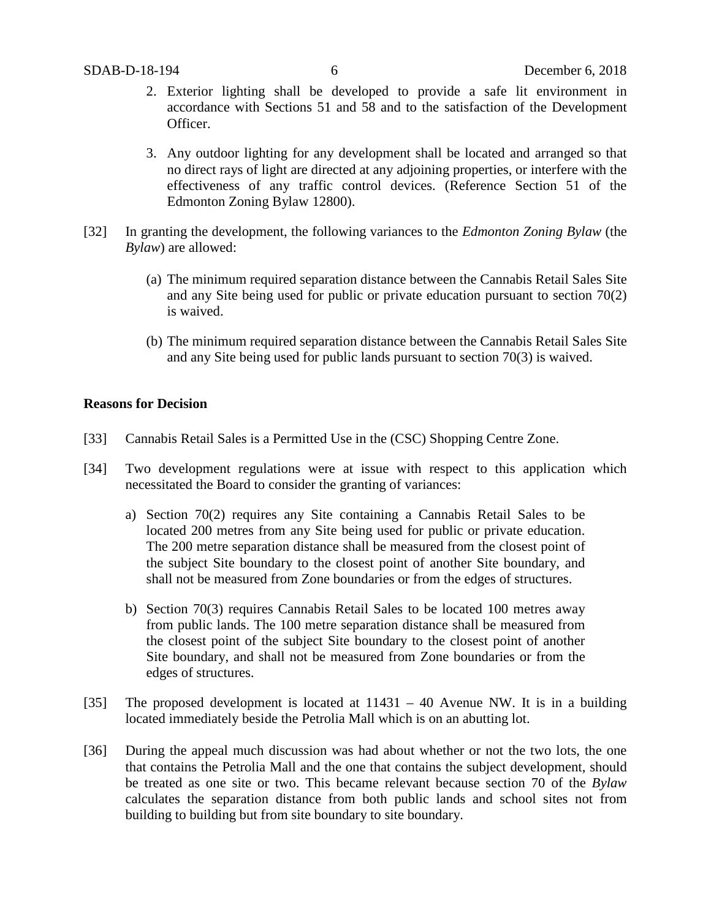- 2. Exterior lighting shall be developed to provide a safe lit environment in accordance with Sections 51 and 58 and to the satisfaction of the Development Officer.
- 3. Any outdoor lighting for any development shall be located and arranged so that no direct rays of light are directed at any adjoining properties, or interfere with the effectiveness of any traffic control devices. (Reference Section 51 of the Edmonton Zoning Bylaw 12800).
- [32] In granting the development, the following variances to the *Edmonton Zoning Bylaw* (the *Bylaw*) are allowed:
	- (a) The minimum required separation distance between the Cannabis Retail Sales Site and any Site being used for public or private education pursuant to section 70(2) is waived.
	- (b) The minimum required separation distance between the Cannabis Retail Sales Site and any Site being used for public lands pursuant to section 70(3) is waived.

#### **Reasons for Decision**

- [33] Cannabis Retail Sales is a Permitted Use in the (CSC) Shopping Centre Zone.
- [34] Two development regulations were at issue with respect to this application which necessitated the Board to consider the granting of variances:
	- a) Section 70(2) requires any Site containing a Cannabis Retail Sales to be located 200 metres from any Site being used for public or private education. The 200 metre separation distance shall be measured from the closest point of the subject Site boundary to the closest point of another Site boundary, and shall not be measured from Zone boundaries or from the edges of structures.
	- b) Section 70(3) requires Cannabis Retail Sales to be located 100 metres away from public lands. The [100 metre](javascript:void(0);) separation distance shall be measured from the closest point of the subject Site boundary to the closest point of another Site boundary, and shall not be measured from Zone boundaries or from the edges of structures.
- [35] The proposed development is located at 11431 40 Avenue NW. It is in a building located immediately beside the Petrolia Mall which is on an abutting lot.
- [36] During the appeal much discussion was had about whether or not the two lots, the one that contains the Petrolia Mall and the one that contains the subject development, should be treated as one site or two. This became relevant because section 70 of the *Bylaw*  calculates the separation distance from both public lands and school sites not from building to building but from site boundary to site boundary.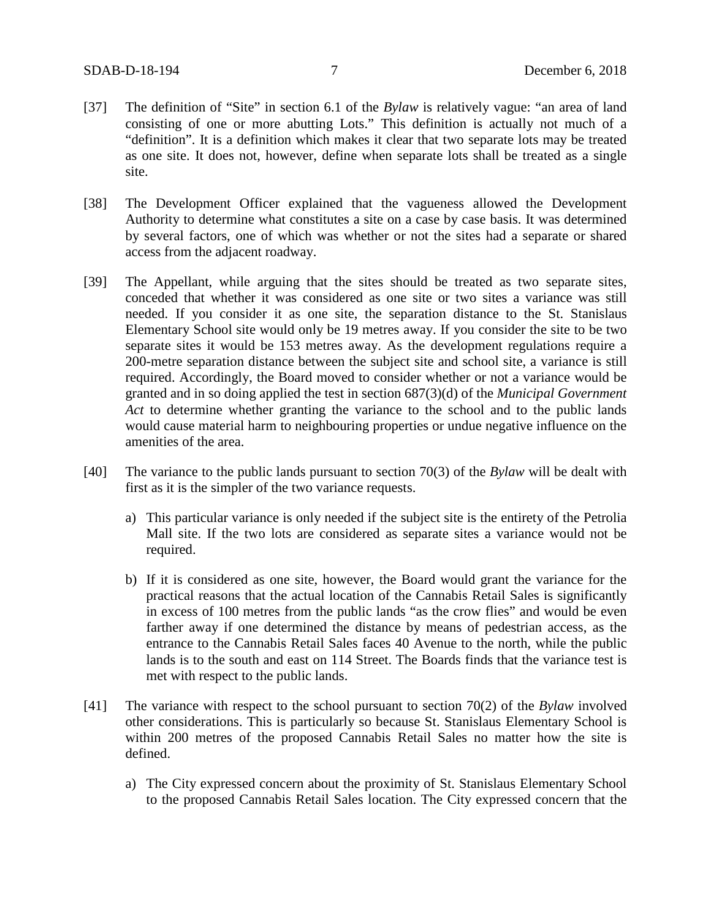- [37] The definition of "Site" in section 6.1 of the *Bylaw* is relatively vague: "an area of land consisting of one or more abutting Lots." This definition is actually not much of a "definition". It is a definition which makes it clear that two separate lots may be treated as one site. It does not, however, define when separate lots shall be treated as a single site.
- [38] The Development Officer explained that the vagueness allowed the Development Authority to determine what constitutes a site on a case by case basis. It was determined by several factors, one of which was whether or not the sites had a separate or shared access from the adjacent roadway.
- [39] The Appellant, while arguing that the sites should be treated as two separate sites, conceded that whether it was considered as one site or two sites a variance was still needed. If you consider it as one site, the separation distance to the St. Stanislaus Elementary School site would only be 19 metres away. If you consider the site to be two separate sites it would be 153 metres away. As the development regulations require a 200-metre separation distance between the subject site and school site, a variance is still required. Accordingly, the Board moved to consider whether or not a variance would be granted and in so doing applied the test in section 687(3)(d) of the *Municipal Government Act* to determine whether granting the variance to the school and to the public lands would cause material harm to neighbouring properties or undue negative influence on the amenities of the area.
- [40] The variance to the public lands pursuant to section 70(3) of the *Bylaw* will be dealt with first as it is the simpler of the two variance requests.
	- a) This particular variance is only needed if the subject site is the entirety of the Petrolia Mall site. If the two lots are considered as separate sites a variance would not be required.
	- b) If it is considered as one site, however, the Board would grant the variance for the practical reasons that the actual location of the Cannabis Retail Sales is significantly in excess of 100 metres from the public lands "as the crow flies" and would be even farther away if one determined the distance by means of pedestrian access, as the entrance to the Cannabis Retail Sales faces 40 Avenue to the north, while the public lands is to the south and east on 114 Street. The Boards finds that the variance test is met with respect to the public lands.
- [41] The variance with respect to the school pursuant to section 70(2) of the *Bylaw* involved other considerations. This is particularly so because St. Stanislaus Elementary School is within 200 metres of the proposed Cannabis Retail Sales no matter how the site is defined.
	- a) The City expressed concern about the proximity of St. Stanislaus Elementary School to the proposed Cannabis Retail Sales location. The City expressed concern that the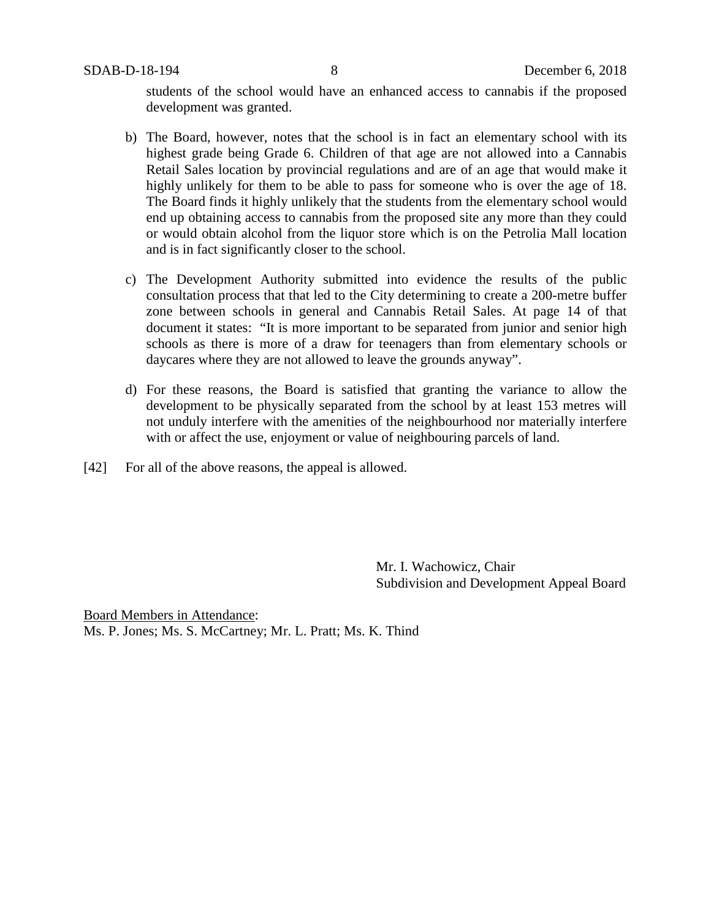students of the school would have an enhanced access to cannabis if the proposed development was granted.

- b) The Board, however, notes that the school is in fact an elementary school with its highest grade being Grade 6. Children of that age are not allowed into a Cannabis Retail Sales location by provincial regulations and are of an age that would make it highly unlikely for them to be able to pass for someone who is over the age of 18. The Board finds it highly unlikely that the students from the elementary school would end up obtaining access to cannabis from the proposed site any more than they could or would obtain alcohol from the liquor store which is on the Petrolia Mall location and is in fact significantly closer to the school.
- c) The Development Authority submitted into evidence the results of the public consultation process that that led to the City determining to create a 200-metre buffer zone between schools in general and Cannabis Retail Sales. At page 14 of that document it states: "It is more important to be separated from junior and senior high schools as there is more of a draw for teenagers than from elementary schools or daycares where they are not allowed to leave the grounds anyway".
- d) For these reasons, the Board is satisfied that granting the variance to allow the development to be physically separated from the school by at least 153 metres will not unduly interfere with the amenities of the neighbourhood nor materially interfere with or affect the use, enjoyment or value of neighbouring parcels of land.
- [42] For all of the above reasons, the appeal is allowed.

Mr. I. Wachowicz, Chair Subdivision and Development Appeal Board

Board Members in Attendance: Ms. P. Jones; Ms. S. McCartney; Mr. L. Pratt; Ms. K. Thind